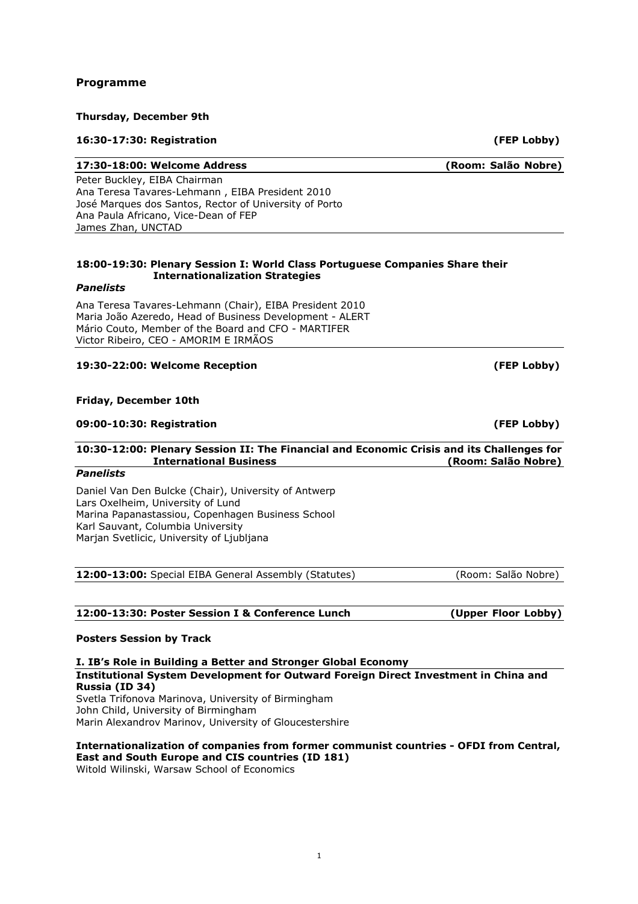## Programme

## Thursday, December 9th

## 16:30-17:30: Registration (FEP Lobby)

## 17:30-18:00: Welcome Address (Room: Salão Nobre)

Peter Buckley, EIBA Chairman Ana Teresa Tavares-Lehmann , EIBA President 2010 José Marques dos Santos, Rector of University of Porto Ana Paula Africano, Vice-Dean of FEP James Zhan, UNCTAD

### 18:00-19:30: Plenary Session I: World Class Portuguese Companies Share their Internationalization Strategies

### Panelists

Ana Teresa Tavares-Lehmann (Chair), EIBA President 2010 Maria João Azeredo, Head of Business Development - ALERT Mário Couto, Member of the Board and CFO - MARTIFER Victor Ribeiro, CEO - AMORIM E IRMÃOS

## 19:30-22:00: Welcome Reception (FEP Lobby)

### Friday, December 10th

### 09:00-10:30: Registration (FEP Lobby)

### 10:30-12:00: Plenary Session II: The Financial and Economic Crisis and its Challenges for International Business (Room: Salão Nobre)

### Panelists

Daniel Van Den Bulcke (Chair), University of Antwerp Lars Oxelheim, University of Lund Marina Papanastassiou, Copenhagen Business School Karl Sauvant, Columbia University Marjan Svetlicic, University of Ljubljana

12:00-13:00: Special EIBA General Assembly (Statutes) (Room: Salão Nobre)

## 12:00-13:30: Poster Session I & Conference Lunch (Upper Floor Lobby)

### Posters Session by Track

I. IB's Role in Building a Better and Stronger Global Economy Institutional System Development for Outward Foreign Direct Investment in China and Russia (ID 34) Svetla Trifonova Marinova, University of Birmingham John Child, University of Birmingham Marin Alexandrov Marinov, University of Gloucestershire

### Internationalization of companies from former communist countries - OFDI from Central, East and South Europe and CIS countries (ID 181)

Witold Wilinski, Warsaw School of Economics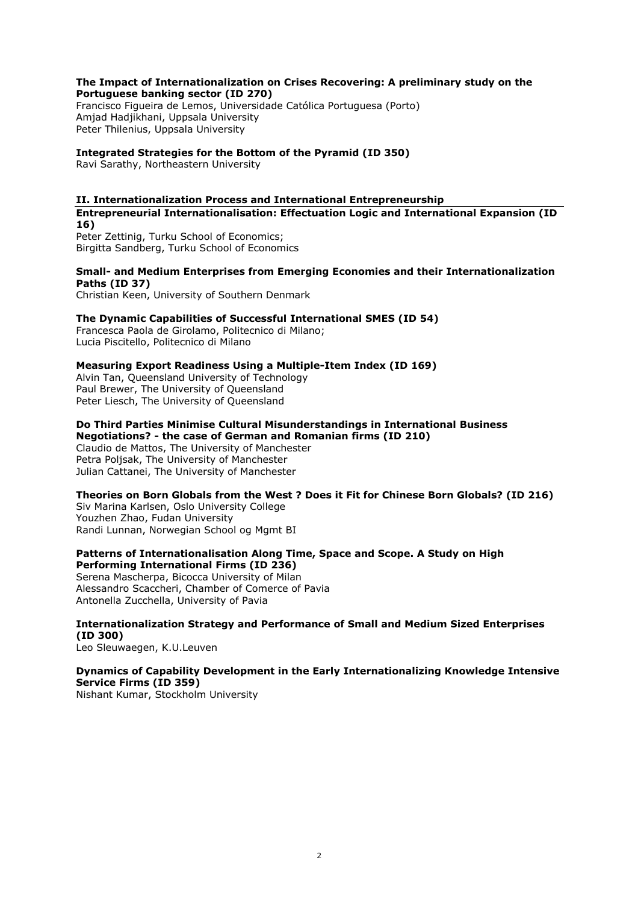### The Impact of Internationalization on Crises Recovering: A preliminary study on the Portuguese banking sector (ID 270)

Francisco Figueira de Lemos, Universidade Católica Portuguesa (Porto) Amjad Hadjikhani, Uppsala University Peter Thilenius, Uppsala University

## Integrated Strategies for the Bottom of the Pyramid (ID 350)

Ravi Sarathy, Northeastern University

### II. Internationalization Process and International Entrepreneurship

Entrepreneurial Internationalisation: Effectuation Logic and International Expansion (ID 16)

Peter Zettinig, Turku School of Economics; Birgitta Sandberg, Turku School of Economics

## Small- and Medium Enterprises from Emerging Economies and their Internationalization Paths (ID 37)

Christian Keen, University of Southern Denmark

## The Dynamic Capabilities of Successful International SMES (ID 54)

Francesca Paola de Girolamo, Politecnico di Milano; Lucia Piscitello, Politecnico di Milano

## Measuring Export Readiness Using a Multiple-Item Index (ID 169)

Alvin Tan, Queensland University of Technology Paul Brewer, The University of Queensland Peter Liesch, The University of Queensland

Do Third Parties Minimise Cultural Misunderstandings in International Business Negotiations? - the case of German and Romanian firms (ID 210) Claudio de Mattos, The University of Manchester Petra Poljsak, The University of Manchester Julian Cattanei, The University of Manchester

Theories on Born Globals from the West ? Does it Fit for Chinese Born Globals? (ID 216)

Siv Marina Karlsen, Oslo University College Youzhen Zhao, Fudan University Randi Lunnan, Norwegian School og Mgmt BI

### Patterns of Internationalisation Along Time, Space and Scope. A Study on High Performing International Firms (ID 236)

Serena Mascherpa, Bicocca University of Milan Alessandro Scaccheri, Chamber of Comerce of Pavia Antonella Zucchella, University of Pavia

## Internationalization Strategy and Performance of Small and Medium Sized Enterprises (ID 300)

Leo Sleuwaegen, K.U.Leuven

## Dynamics of Capability Development in the Early Internationalizing Knowledge Intensive Service Firms (ID 359)

Nishant Kumar, Stockholm University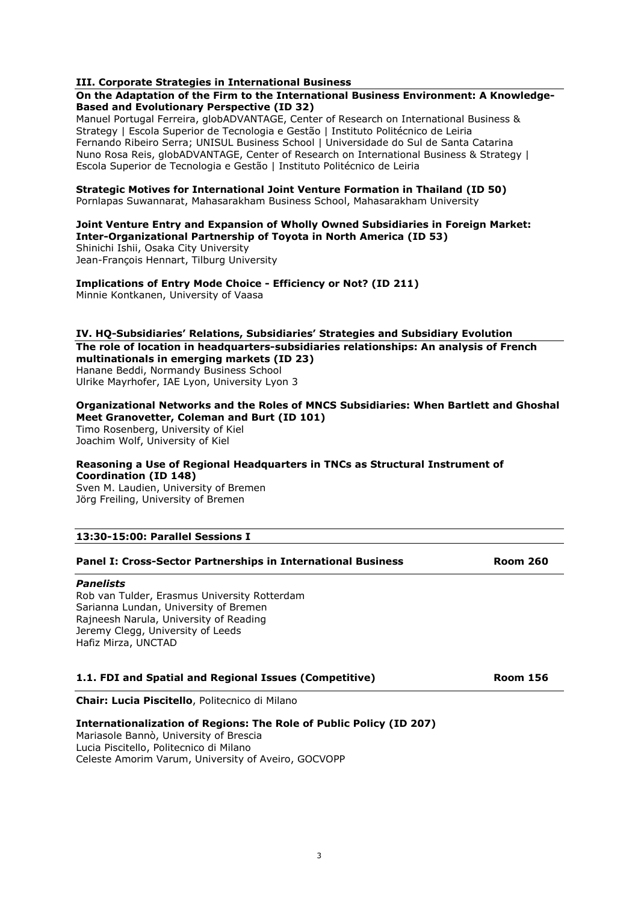### III. Corporate Strategies in International Business

### On the Adaptation of the Firm to the International Business Environment: A Knowledge-Based and Evolutionary Perspective (ID 32)

Manuel Portugal Ferreira, globADVANTAGE, Center of Research on International Business & Strategy | Escola Superior de Tecnologia e Gestão | Instituto Politécnico de Leiria Fernando Ribeiro Serra; UNISUL Business School | Universidade do Sul de Santa Catarina Nuno Rosa Reis, globADVANTAGE, Center of Research on International Business & Strategy | Escola Superior de Tecnologia e Gestão | Instituto Politécnico de Leiria

Strategic Motives for International Joint Venture Formation in Thailand (ID 50) Pornlapas Suwannarat, Mahasarakham Business School, Mahasarakham University

### Joint Venture Entry and Expansion of Wholly Owned Subsidiaries in Foreign Market: Inter-Organizational Partnership of Toyota in North America (ID 53)

Shinichi Ishii, Osaka City University Jean-François Hennart, Tilburg University

Implications of Entry Mode Choice - Efficiency or Not? (ID 211) Minnie Kontkanen, University of Vaasa

### IV. HQ-Subsidiaries' Relations, Subsidiaries' Strategies and Subsidiary Evolution The role of location in headquarters-subsidiaries relationships: An analysis of French multinationals in emerging markets (ID 23) Hanane Beddi, Normandy Business School Ulrike Mayrhofer, IAE Lyon, University Lyon 3

Organizational Networks and the Roles of MNCS Subsidiaries: When Bartlett and Ghoshal Meet Granovetter, Coleman and Burt (ID 101)

Timo Rosenberg, University of Kiel Joachim Wolf, University of Kiel

### Reasoning a Use of Regional Headquarters in TNCs as Structural Instrument of Coordination (ID 148)

Sven M. Laudien, University of Bremen Jörg Freiling, University of Bremen

### 13:30-15:00: Parallel Sessions I

### Panel I: Cross-Sector Partnerships in International Business **Room 260**

### **Panelists**

Rob van Tulder, Erasmus University Rotterdam Sarianna Lundan, University of Bremen Rajneesh Narula, University of Reading Jeremy Clegg, University of Leeds Hafiz Mirza, UNCTAD

### 1.1. FDI and Spatial and Regional Issues (Competitive) **Room 156**

Chair: Lucia Piscitello, Politecnico di Milano

### Internationalization of Regions: The Role of Public Policy (ID 207)

Mariasole Bannò, University of Brescia Lucia Piscitello, Politecnico di Milano Celeste Amorim Varum, University of Aveiro, GOCVOPP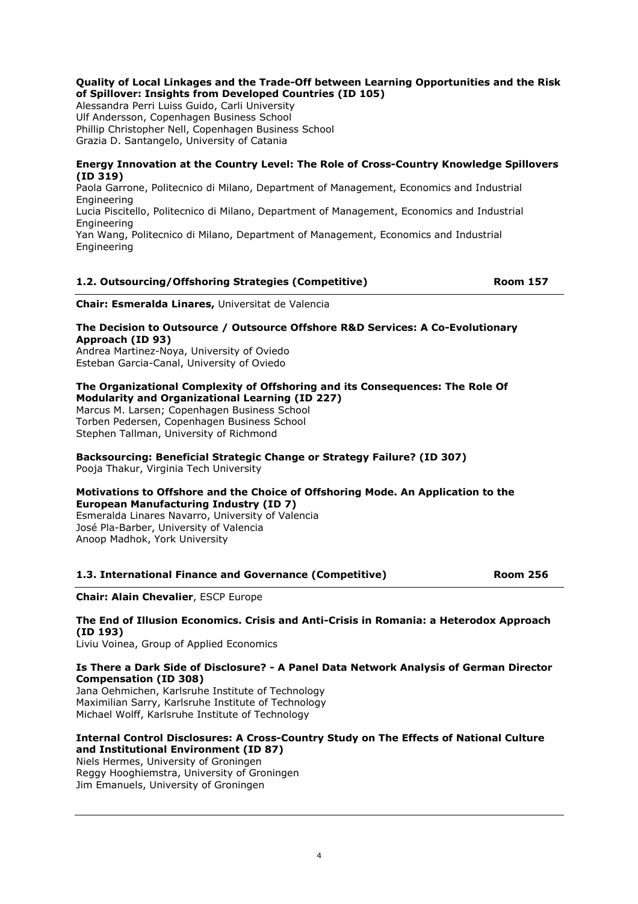## Quality of Local Linkages and the Trade-Off between Learning Opportunities and the Risk of Spillover: Insights from Developed Countries (ID 105)

Alessandra Perri Luiss Guido, Carli University Ulf Andersson, Copenhagen Business School Phillip Christopher Nell, Copenhagen Business School Grazia D. Santangelo, University of Catania

### Energy Innovation at the Country Level: The Role of Cross-Country Knowledge Spillovers (ID 319)

Paola Garrone, Politecnico di Milano, Department of Management, Economics and Industrial Engineering Lucia Piscitello, Politecnico di Milano, Department of Management, Economics and Industrial **Engineering** Yan Wang, Politecnico di Milano, Department of Management, Economics and Industrial Engineering

## 1.2. Outsourcing/Offshoring Strategies (Competitive) Room 157

Chair: Esmeralda Linares, Universitat de Valencia

### The Decision to Outsource / Outsource Offshore R&D Services: A Co-Evolutionary Approach (ID 93)

Andrea Martinez-Noya, University of Oviedo Esteban Garcia-Canal, University of Oviedo

## The Organizational Complexity of Offshoring and its Consequences: The Role Of Modularity and Organizational Learning (ID 227)

Marcus M. Larsen; Copenhagen Business School Torben Pedersen, Copenhagen Business School Stephen Tallman, University of Richmond

# Backsourcing: Beneficial Strategic Change or Strategy Failure? (ID 307)

Pooja Thakur, Virginia Tech University

## Motivations to Offshore and the Choice of Offshoring Mode. An Application to the European Manufacturing Industry (ID 7)

Esmeralda Linares Navarro, University of Valencia José Pla-Barber, University of Valencia Anoop Madhok, York University

## 1.3. International Finance and Governance (Competitive) Room 256

Chair: Alain Chevalier, ESCP Europe

## The End of Illusion Economics. Crisis and Anti-Crisis in Romania: a Heterodox Approach (ID 193)

Liviu Voinea, Group of Applied Economics

## Is There a Dark Side of Disclosure? - A Panel Data Network Analysis of German Director Compensation (ID 308)

Jana Oehmichen, Karlsruhe Institute of Technology Maximilian Sarry, Karlsruhe Institute of Technology Michael Wolff, Karlsruhe Institute of Technology

### Internal Control Disclosures: A Cross-Country Study on The Effects of National Culture and Institutional Environment (ID 87)

Niels Hermes, University of Groningen Reggy Hooghiemstra, University of Groningen Jim Emanuels, University of Groningen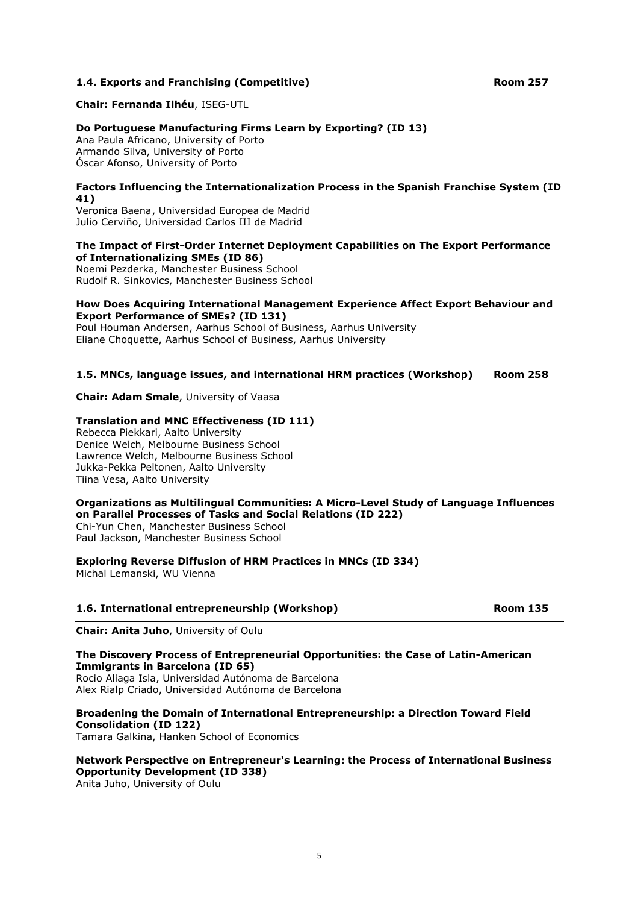### 1.4. Exports and Franchising (Competitive) **Room 257** Room 257

Chair: Fernanda Ilhéu, ISEG-UTL

#### Do Portuguese Manufacturing Firms Learn by Exporting? (ID 13)

Ana Paula Africano, University of Porto Armando Silva, University of Porto Óscar Afonso, University of Porto

### Factors Influencing the Internationalization Process in the Spanish Franchise System (ID 41)

Veronica Baena , Universidad Europea de Madrid Julio Cerviño, Universidad Carlos III de Madrid

### The Impact of First-Order Internet Deployment Capabilities on The Export Performance of Internationalizing SMEs (ID 86)

Noemi Pezderka, Manchester Business School Rudolf R. Sinkovics, Manchester Business School

### How Does Acquiring International Management Experience Affect Export Behaviour and Export Performance of SMEs? (ID 131)

Poul Houman Andersen, Aarhus School of Business, Aarhus University Eliane Choquette, Aarhus School of Business, Aarhus University

### 1.5. MNCs, language issues, and international HRM practices (Workshop) Room 258

### Chair: Adam Smale, University of Vaasa

### Translation and MNC Effectiveness (ID 111)

Rebecca Piekkari, Aalto University Denice Welch, Melbourne Business School Lawrence Welch, Melbourne Business School Jukka-Pekka Peltonen, Aalto University Tiina Vesa, Aalto University

#### Organizations as Multilingual Communities: A Micro-Level Study of Language Influences on Parallel Processes of Tasks and Social Relations (ID 222) Chi-Yun Chen, Manchester Business School

Paul Jackson, Manchester Business School

Exploring Reverse Diffusion of HRM Practices in MNCs (ID 334)

Michal Lemanski, WU Vienna

### 1.6. International entrepreneurship (Workshop) Room 135

Chair: Anita Juho, University of Oulu

## The Discovery Process of Entrepreneurial Opportunities: the Case of Latin-American Immigrants in Barcelona (ID 65)

Rocio Aliaga Isla, Universidad Autónoma de Barcelona Alex Rialp Criado, Universidad Autónoma de Barcelona

## Broadening the Domain of International Entrepreneurship: a Direction Toward Field Consolidation (ID 122)

Tamara Galkina, Hanken School of Economics

### Network Perspective on Entrepreneur's Learning: the Process of International Business Opportunity Development (ID 338)

Anita Juho, University of Oulu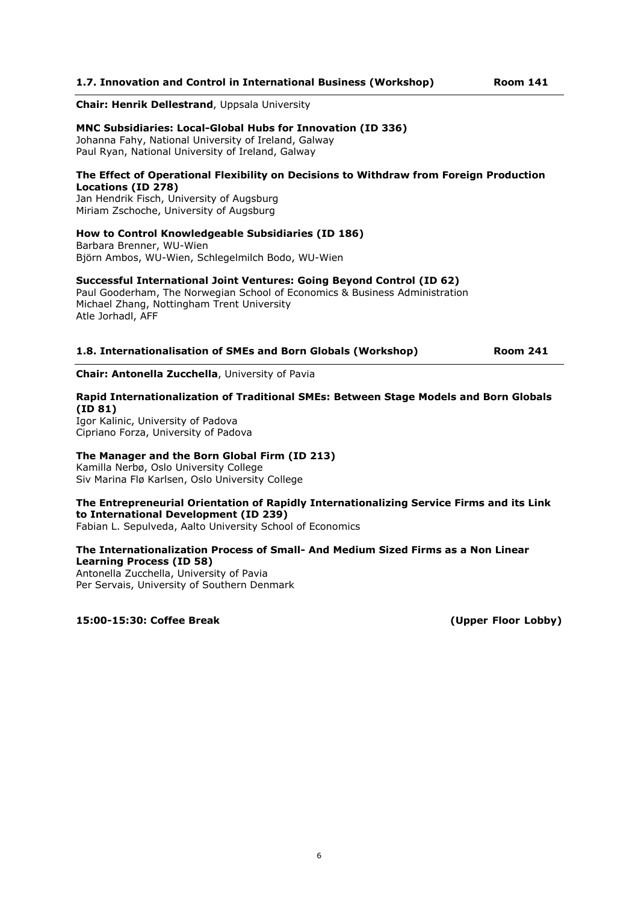### 1.7. Innovation and Control in International Business (Workshop) Room 141

#### Chair: Henrik Dellestrand, Uppsala University

### MNC Subsidiaries: Local-Global Hubs for Innovation (ID 336)

Johanna Fahy, National University of Ireland, Galway Paul Ryan, National University of Ireland, Galway

### The Effect of Operational Flexibility on Decisions to Withdraw from Foreign Production Locations (ID 278)

Jan Hendrik Fisch, University of Augsburg Miriam Zschoche, University of Augsburg

### How to Control Knowledgeable Subsidiaries (ID 186)

Barbara Brenner, WU-Wien Björn Ambos, WU-Wien, Schlegelmilch Bodo, WU-Wien

### Successful International Joint Ventures: Going Beyond Control (ID 62)

Paul Gooderham, The Norwegian School of Economics & Business Administration Michael Zhang, Nottingham Trent University Atle Jorhadl, AFF

### 1.8. Internationalisation of SMEs and Born Globals (Workshop) Room 241

## Chair: Antonella Zucchella, University of Pavia

### Rapid Internationalization of Traditional SMEs: Between Stage Models and Born Globals (ID 81)

Igor Kalinic, University of Padova Cipriano Forza, University of Padova

### The Manager and the Born Global Firm (ID 213)

Kamilla Nerbø, Oslo University College Siv Marina Flø Karlsen, Oslo University College

## The Entrepreneurial Orientation of Rapidly Internationalizing Service Firms and its Link to International Development (ID 239)

Fabian L. Sepulveda, Aalto University School of Economics

### The Internationalization Process of Small- And Medium Sized Firms as a Non Linear Learning Process (ID 58)

Antonella Zucchella, University of Pavia Per Servais, University of Southern Denmark

15:00-15:30: Coffee Break (Upper Floor Lobby)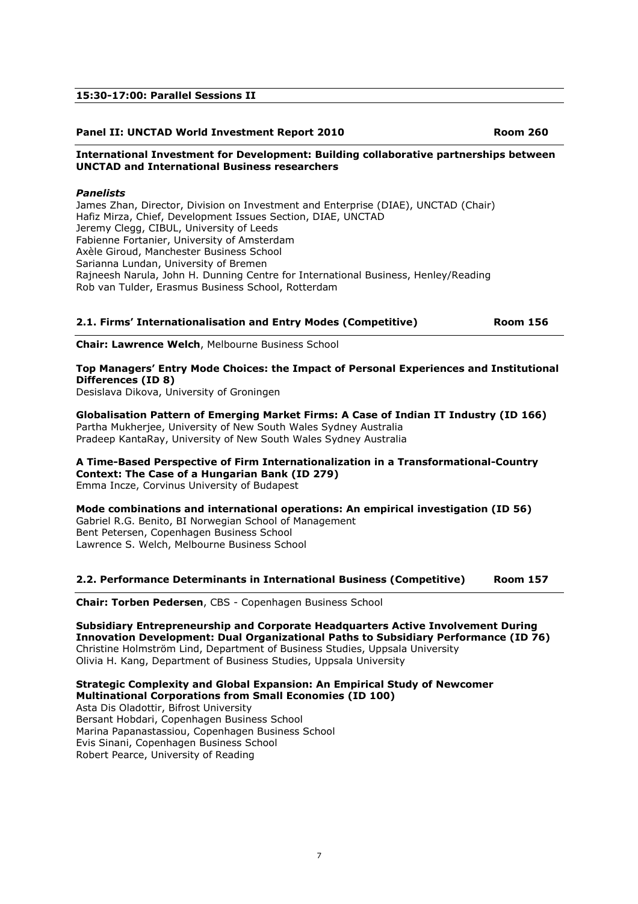### 15:30-17:00: Parallel Sessions II

### Panel II: UNCTAD World Investment Report 2010 **Room 260** Room 260

### International Investment for Development: Building collaborative partnerships between UNCTAD and International Business researchers

### Panelists

James Zhan, Director, Division on Investment and Enterprise (DIAE), UNCTAD (Chair) Hafiz Mirza, Chief, Development Issues Section, DIAE, UNCTAD Jeremy Clegg, CIBUL, University of Leeds Fabienne Fortanier, University of Amsterdam Axèle Giroud, Manchester Business School Sarianna Lundan, University of Bremen Rajneesh Narula, John H. Dunning Centre for International Business, Henley/Reading Rob van Tulder, Erasmus Business School, Rotterdam

### 2.1. Firms' Internationalisation and Entry Modes (Competitive) Room 156

Chair: Lawrence Welch, Melbourne Business School

## Top Managers' Entry Mode Choices: the Impact of Personal Experiences and Institutional Differences (ID 8)

Desislava Dikova, University of Groningen

Globalisation Pattern of Emerging Market Firms: A Case of Indian IT Industry (ID 166) Partha Mukherjee, University of New South Wales Sydney Australia Pradeep KantaRay, University of New South Wales Sydney Australia

## A Time-Based Perspective of Firm Internationalization in a Transformational-Country Context: The Case of a Hungarian Bank (ID 279)

Emma Incze, Corvinus University of Budapest

Mode combinations and international operations: An empirical investigation (ID 56) Gabriel R.G. Benito, BI Norwegian School of Management Bent Petersen, Copenhagen Business School Lawrence S. Welch, Melbourne Business School

### 2.2. Performance Determinants in International Business (Competitive) Room 157

Chair: Torben Pedersen, CBS - Copenhagen Business School

Subsidiary Entrepreneurship and Corporate Headquarters Active Involvement During Innovation Development: Dual Organizational Paths to Subsidiary Performance (ID 76) Christine Holmström Lind, Department of Business Studies, Uppsala University Olivia H. Kang, Department of Business Studies, Uppsala University

Strategic Complexity and Global Expansion: An Empirical Study of Newcomer Multinational Corporations from Small Economies (ID 100) Asta Dis Oladottir, Bifrost University Bersant Hobdari, Copenhagen Business School

Marina Papanastassiou, Copenhagen Business School Evis Sinani, Copenhagen Business School Robert Pearce, University of Reading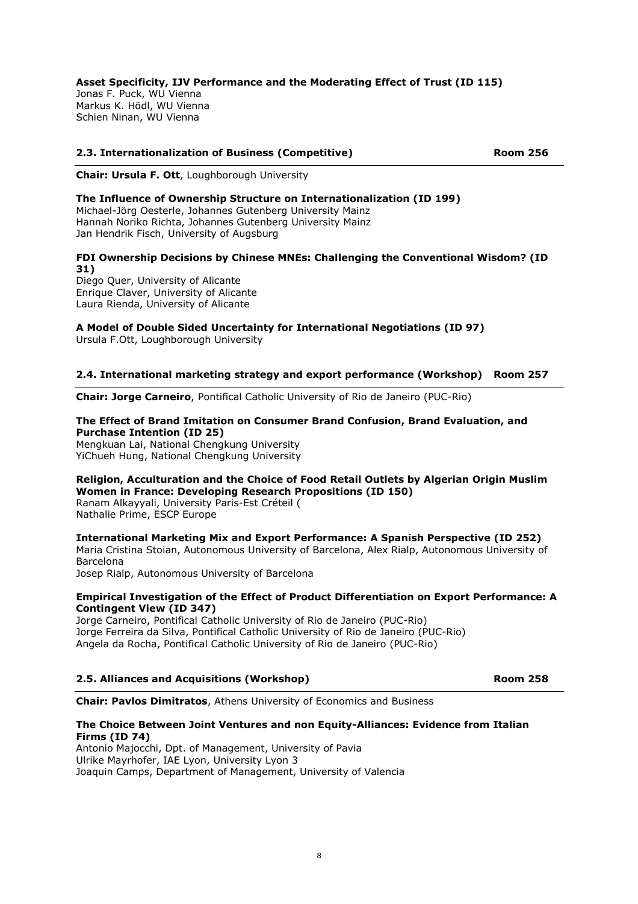Asset Specificity, IJV Performance and the Moderating Effect of Trust (ID 115) Jonas F. Puck, WU Vienna Markus K. Hödl, WU Vienna Schien Ninan, WU Vienna

## 2.3. Internationalization of Business (Competitive) Room 256

Chair: Ursula F. Ott, Loughborough University

### The Influence of Ownership Structure on Internationalization (ID 199)

Michael-Jörg Oesterle, Johannes Gutenberg University Mainz Hannah Noriko Richta, Johannes Gutenberg University Mainz Jan Hendrik Fisch, University of Augsburg

FDI Ownership Decisions by Chinese MNEs: Challenging the Conventional Wisdom? (ID 31)

Diego Quer, University of Alicante Enrique Claver, University of Alicante Laura Rienda, University of Alicante

## A Model of Double Sided Uncertainty for International Negotiations (ID 97)

Ursula F.Ott, Loughborough University

### 2.4. International marketing strategy and export performance (Workshop) Room 257

Chair: Jorge Carneiro, Pontifical Catholic University of Rio de Janeiro (PUC-Rio)

### The Effect of Brand Imitation on Consumer Brand Confusion, Brand Evaluation, and Purchase Intention (ID 25)

Mengkuan Lai, National Chengkung University YiChueh Hung, National Chengkung University

## Religion, Acculturation and the Choice of Food Retail Outlets by Algerian Origin Muslim Women in France: Developing Research Propositions (ID 150)

Ranam Alkayyali, University Paris-Est Créteil ( Nathalie Prime, ESCP Europe

### International Marketing Mix and Export Performance: A Spanish Perspective (ID 252)

Maria Cristina Stoian, Autonomous University of Barcelona, Alex Rialp, Autonomous University of Barcelona

Josep Rialp, Autonomous University of Barcelona

### Empirical Investigation of the Effect of Product Differentiation on Export Performance: A Contingent View (ID 347)

Jorge Carneiro, Pontifical Catholic University of Rio de Janeiro (PUC-Rio) Jorge Ferreira da Silva, Pontifical Catholic University of Rio de Janeiro (PUC-Rio) Angela da Rocha, Pontifical Catholic University of Rio de Janeiro (PUC-Rio)

### 2.5. Alliances and Acquisitions (Workshop) **Room 258** Room 258

Chair: Pavlos Dimitratos, Athens University of Economics and Business

### The Choice Between Joint Ventures and non Equity-Alliances: Evidence from Italian Firms (ID 74)

Antonio Majocchi, Dpt. of Management, University of Pavia Ulrike Mayrhofer, IAE Lyon, University Lyon 3 Joaquin Camps, Department of Management, University of Valencia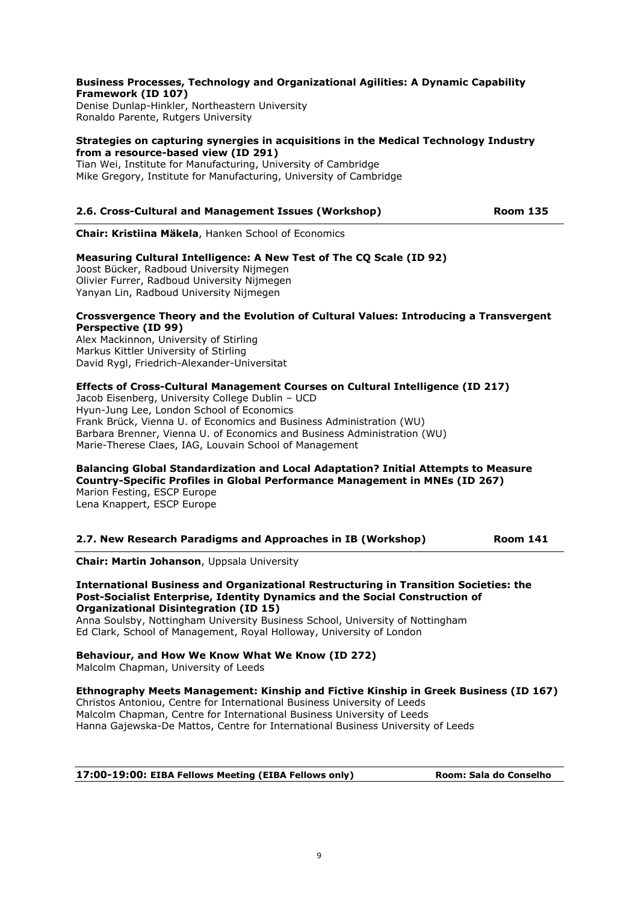### Business Processes, Technology and Organizational Agilities: A Dynamic Capability Framework (ID 107)

Denise Dunlap-Hinkler, Northeastern University Ronaldo Parente, Rutgers University

### Strategies on capturing synergies in acquisitions in the Medical Technology Industry from a resource-based view (ID 291)

Tian Wei, Institute for Manufacturing, University of Cambridge Mike Gregory, Institute for Manufacturing, University of Cambridge

## 2.6. Cross-Cultural and Management Issues (Workshop) The Room 135

Chair: Kristiina Mäkela, Hanken School of Economics

## Measuring Cultural Intelligence: A New Test of The CQ Scale (ID 92)

Joost Bücker, Radboud University Nijmegen Olivier Furrer, Radboud University Nijmegen Yanyan Lin, Radboud University Nijmegen

### Crossvergence Theory and the Evolution of Cultural Values: Introducing a Transvergent Perspective (ID 99)

Alex Mackinnon, University of Stirling Markus Kittler University of Stirling David Rygl, Friedrich-Alexander-Universitat

### Effects of Cross-Cultural Management Courses on Cultural Intelligence (ID 217)

Jacob Eisenberg, University College Dublin – UCD Hyun-Jung Lee, London School of Economics Frank Brück, Vienna U. of Economics and Business Administration (WU) Barbara Brenner, Vienna U. of Economics and Business Administration (WU) Marie-Therese Claes, IAG, Louvain School of Management

### Balancing Global Standardization and Local Adaptation? Initial Attempts to Measure Country-Specific Profiles in Global Performance Management in MNEs (ID 267)

Marion Festing, ESCP Europe Lena Knappert, ESCP Europe

| 2.7. New Research Paradigms and Approaches in IB (Workshop) | <b>Room 141</b> |
|-------------------------------------------------------------|-----------------|
|-------------------------------------------------------------|-----------------|

Chair: Martin Johanson, Uppsala University

### International Business and Organizational Restructuring in Transition Societies: the Post-Socialist Enterprise, Identity Dynamics and the Social Construction of Organizational Disintegration (ID 15)

Anna Soulsby, Nottingham University Business School, University of Nottingham Ed Clark, School of Management, Royal Holloway, University of London

## Behaviour, and How We Know What We Know (ID 272)

Malcolm Chapman, University of Leeds

### Ethnography Meets Management: Kinship and Fictive Kinship in Greek Business (ID 167)

Christos Antoniou, Centre for International Business University of Leeds Malcolm Chapman, Centre for International Business University of Leeds Hanna Gajewska-De Mattos, Centre for International Business University of Leeds

17:00-19:00: EIBA Fellows Meeting (EIBA Fellows only) Room: Sala do Conselho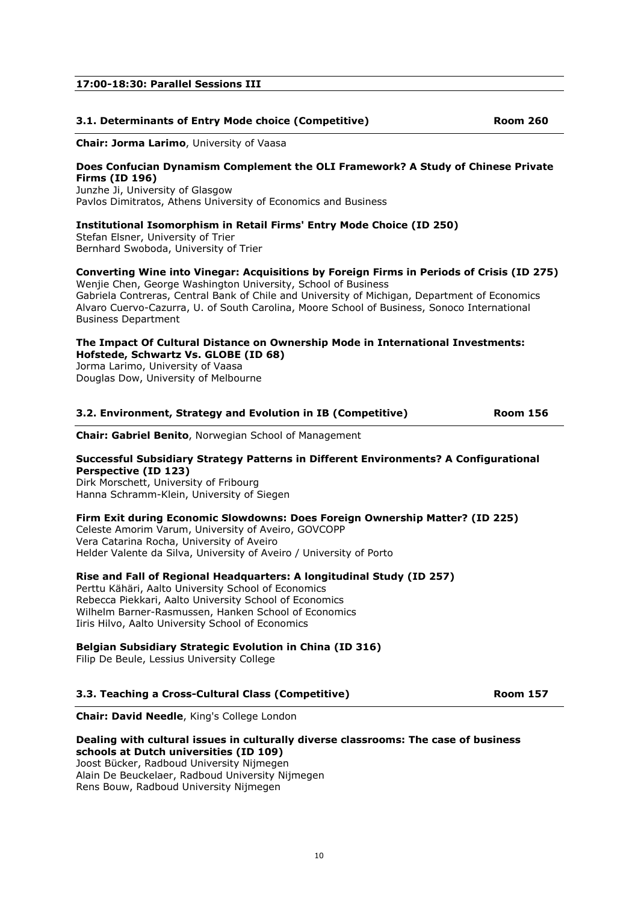10

## 17:00-18:30: Parallel Sessions III

## 3.1. Determinants of Entry Mode choice (Competitive) and the community Room 260

Chair: Jorma Larimo, University of Vaasa

### Does Confucian Dynamism Complement the OLI Framework? A Study of Chinese Private Firms (ID 196)

Junzhe Ji, University of Glasgow Pavlos Dimitratos, Athens University of Economics and Business

## Institutional Isomorphism in Retail Firms' Entry Mode Choice (ID 250)

Stefan Elsner, University of Trier Bernhard Swoboda, University of Trier

### Converting Wine into Vinegar: Acquisitions by Foreign Firms in Periods of Crisis (ID 275) Wenjie Chen, George Washington University, School of Business

Gabriela Contreras, Central Bank of Chile and University of Michigan, Department of Economics Alvaro Cuervo-Cazurra, U. of South Carolina, Moore School of Business, Sonoco International Business Department

## The Impact Of Cultural Distance on Ownership Mode in International Investments: Hofstede, Schwartz Vs. GLOBE (ID 68)

Jorma Larimo, University of Vaasa Douglas Dow, University of Melbourne

## 3.2. Environment, Strategy and Evolution in IB (Competitive) Room 156

Chair: Gabriel Benito, Norwegian School of Management

### Successful Subsidiary Strategy Patterns in Different Environments? A Configurational Perspective (ID 123)

Dirk Morschett, University of Fribourg Hanna Schramm-Klein, University of Siegen

### Firm Exit during Economic Slowdowns: Does Foreign Ownership Matter? (ID 225)

Celeste Amorim Varum, University of Aveiro, GOVCOPP Vera Catarina Rocha, University of Aveiro Helder Valente da Silva, University of Aveiro / University of Porto

### Rise and Fall of Regional Headquarters: A longitudinal Study (ID 257)

Perttu Kähäri, Aalto University School of Economics Rebecca Piekkari, Aalto University School of Economics Wilhelm Barner-Rasmussen, Hanken School of Economics Iiris Hilvo, Aalto University School of Economics

## Belgian Subsidiary Strategic Evolution in China (ID 316)

Filip De Beule, Lessius University College

### 3.3. Teaching a Cross-Cultural Class (Competitive) Room 157

Chair: David Needle, King's College London

#### Dealing with cultural issues in culturally diverse classrooms: The case of business schools at Dutch universities (ID 109)

Joost Bücker, Radboud University Nijmegen Alain De Beuckelaer, Radboud University Nijmegen Rens Bouw, Radboud University Nijmegen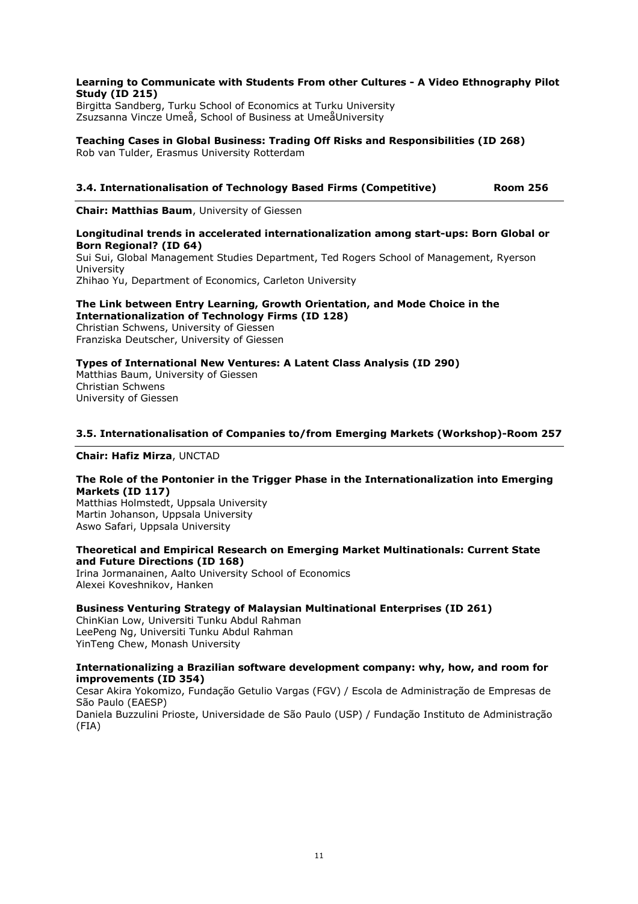### Learning to Communicate with Students From other Cultures - A Video Ethnography Pilot Study (ID 215)

Birgitta Sandberg, Turku School of Economics at Turku University Zsuzsanna Vincze Umeå, School of Business at UmeåUniversity

Teaching Cases in Global Business: Trading Off Risks and Responsibilities (ID 268) Rob van Tulder, Erasmus University Rotterdam

## 3.4. Internationalisation of Technology Based Firms (Competitive) Room 256

Chair: Matthias Baum, University of Giessen

### Longitudinal trends in accelerated internationalization among start-ups: Born Global or Born Regional? (ID 64)

Sui Sui, Global Management Studies Department, Ted Rogers School of Management, Ryerson University Zhihao Yu, Department of Economics, Carleton University

## The Link between Entry Learning, Growth Orientation, and Mode Choice in the Internationalization of Technology Firms (ID 128)

Christian Schwens, University of Giessen Franziska Deutscher, University of Giessen

## Types of International New Ventures: A Latent Class Analysis (ID 290)

Matthias Baum, University of Giessen Christian Schwens University of Giessen

### 3.5. Internationalisation of Companies to/from Emerging Markets (Workshop)-Room 257

Chair: Hafiz Mirza, UNCTAD

## The Role of the Pontonier in the Trigger Phase in the Internationalization into Emerging Markets (ID 117)

Matthias Holmstedt, Uppsala University Martin Johanson, Uppsala University Aswo Safari, Uppsala University

### Theoretical and Empirical Research on Emerging Market Multinationals: Current State and Future Directions (ID 168)

Irina Jormanainen, Aalto University School of Economics Alexei Koveshnikov, Hanken

### Business Venturing Strategy of Malaysian Multinational Enterprises (ID 261)

ChinKian Low, Universiti Tunku Abdul Rahman LeePeng Ng, Universiti Tunku Abdul Rahman YinTeng Chew, Monash University

### Internationalizing a Brazilian software development company: why, how, and room for improvements (ID 354)

Cesar Akira Yokomizo, Fundação Getulio Vargas (FGV) / Escola de Administração de Empresas de São Paulo (EAESP) Daniela Buzzulini Prioste, Universidade de São Paulo (USP) / Fundação Instituto de Administração

(FIA)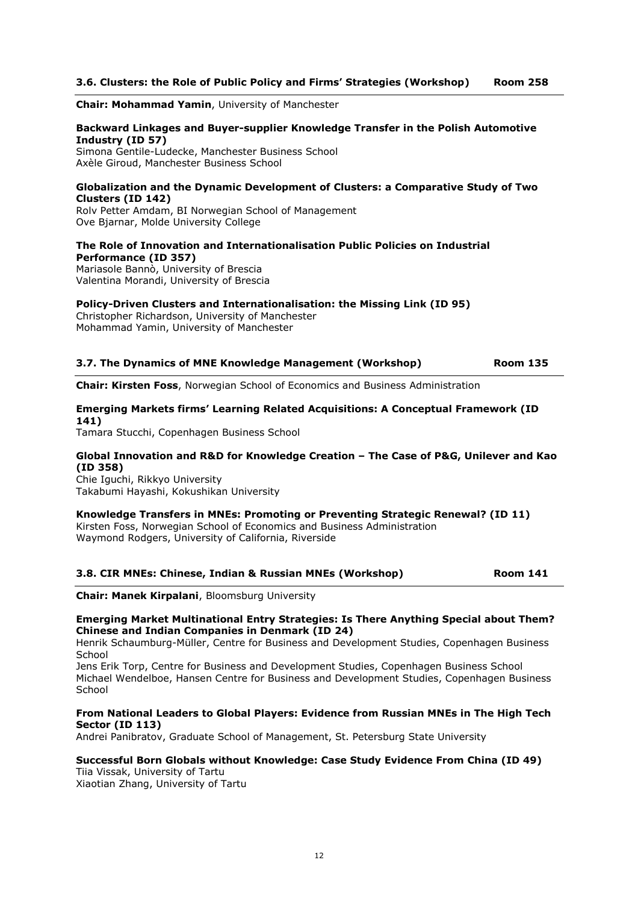## 3.6. Clusters: the Role of Public Policy and Firms' Strategies (Workshop) Room 258

Chair: Mohammad Yamin, University of Manchester

### Backward Linkages and Buyer-supplier Knowledge Transfer in the Polish Automotive Industry (ID 57)

Simona Gentile-Ludecke, Manchester Business School Axèle Giroud, Manchester Business School

### Globalization and the Dynamic Development of Clusters: a Comparative Study of Two Clusters (ID 142)

Rolv Petter Amdam, BI Norwegian School of Management Ove Bjarnar, Molde University College

### The Role of Innovation and Internationalisation Public Policies on Industrial Performance (ID 357)

Mariasole Bannò, University of Brescia Valentina Morandi, University of Brescia

### Policy-Driven Clusters and Internationalisation: the Missing Link (ID 95)

Christopher Richardson, University of Manchester Mohammad Yamin, University of Manchester

| 3.7. The Dynamics of MNE Knowledge Management (Workshop) |  | <b>Room 135</b> |
|----------------------------------------------------------|--|-----------------|
|                                                          |  |                 |

Chair: Kirsten Foss, Norwegian School of Economics and Business Administration

## Emerging Markets firms' Learning Related Acquisitions: A Conceptual Framework (ID 141)

Tamara Stucchi, Copenhagen Business School

### Global Innovation and R&D for Knowledge Creation – The Case of P&G, Unilever and Kao (ID 358)

Chie Iguchi, Rikkyo University Takabumi Hayashi, Kokushikan University

#### Knowledge Transfers in MNEs: Promoting or Preventing Strategic Renewal? (ID 11) Kirsten Foss, Norwegian School of Economics and Business Administration Waymond Rodgers, University of California, Riverside

### 3.8. CIR MNEs: Chinese, Indian & Russian MNEs (Workshop) Room 141

Chair: Manek Kirpalani, Bloomsburg University

### Emerging Market Multinational Entry Strategies: Is There Anything Special about Them? Chinese and Indian Companies in Denmark (ID 24)

Henrik Schaumburg-Müller, Centre for Business and Development Studies, Copenhagen Business **School** 

Jens Erik Torp, Centre for Business and Development Studies, Copenhagen Business School Michael Wendelboe, Hansen Centre for Business and Development Studies, Copenhagen Business **School** 

### From National Leaders to Global Players: Evidence from Russian MNEs in The High Tech Sector (ID 113)

Andrei Panibratov, Graduate School of Management, St. Petersburg State University

## Successful Born Globals without Knowledge: Case Study Evidence From China (ID 49)

Tiia Vissak, University of Tartu Xiaotian Zhang, University of Tartu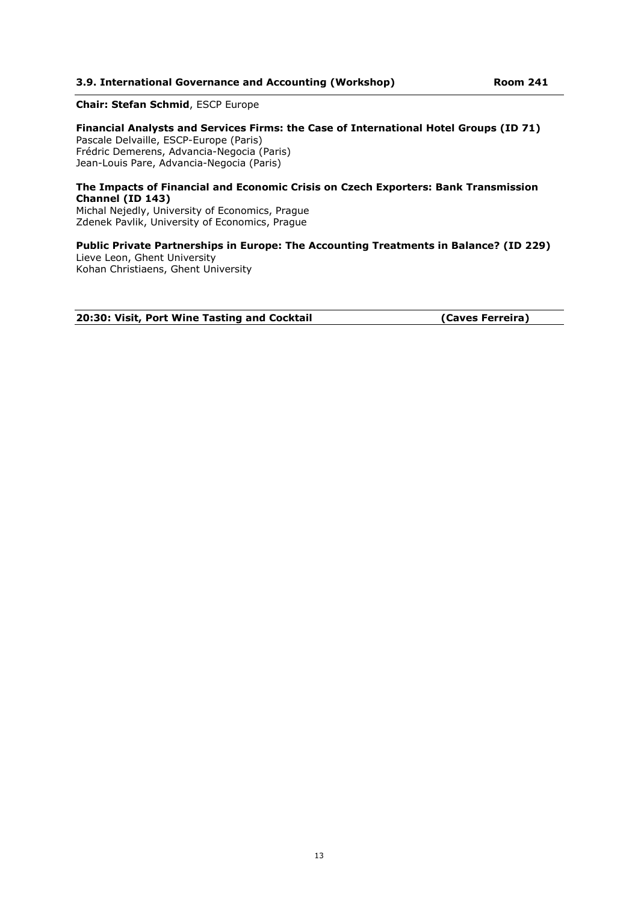### 3.9. International Governance and Accounting (Workshop) Room 241

### Chair: Stefan Schmid, ESCP Europe

Financial Analysts and Services Firms: the Case of International Hotel Groups (ID 71) Pascale Delvaille, ESCP-Europe (Paris) Frédric Demerens, Advancia-Negocia (Paris) Jean-Louis Pare, Advancia-Negocia (Paris)

### The Impacts of Financial and Economic Crisis on Czech Exporters: Bank Transmission Channel (ID 143)

Michal Nejedly, University of Economics, Prague Zdenek Pavlik, University of Economics, Prague

## Public Private Partnerships in Europe: The Accounting Treatments in Balance? (ID 229)

Lieve Leon, Ghent University Kohan Christiaens, Ghent University

20:30: Visit, Port Wine Tasting and Cocktail **Example 20:30: Visit, Port Wine Tasting and Cocktail** (Caves Ferreira)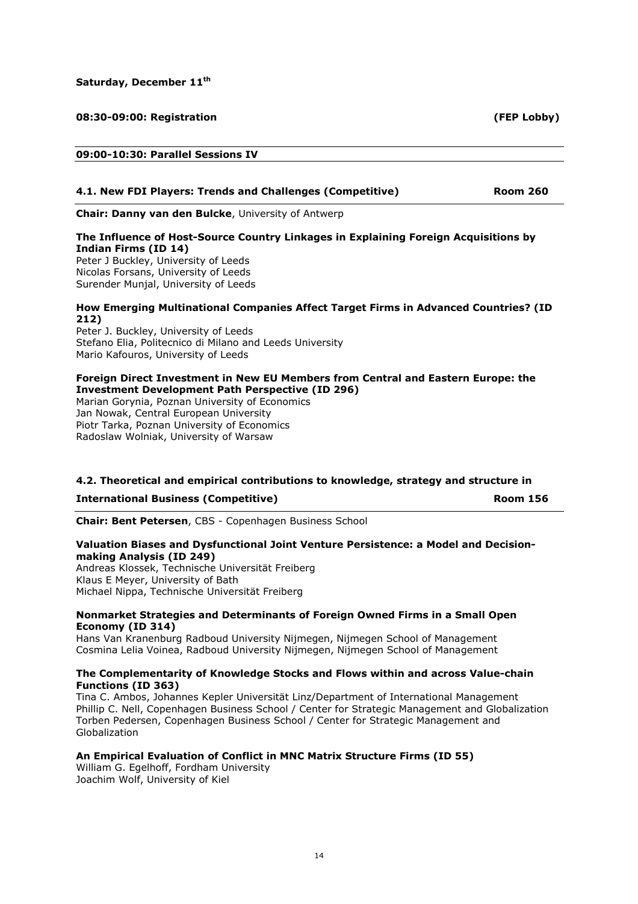Saturday, December 11<sup>th</sup>

### 08:30-09:00: Registration (FEP Lobby)

### 09:00-10:30: Parallel Sessions IV

### 4.1. New FDI Players: Trends and Challenges (Competitive) Room 260

Chair: Danny van den Bulcke, University of Antwerp

## The Influence of Host-Source Country Linkages in Explaining Foreign Acquisitions by Indian Firms (ID 14)

Peter J Buckley, University of Leeds Nicolas Forsans, University of Leeds Surender Munjal, University of Leeds

### How Emerging Multinational Companies Affect Target Firms in Advanced Countries? (ID 212)

Peter J. Buckley, University of Leeds Stefano Elia, Politecnico di Milano and Leeds University Mario Kafouros, University of Leeds

### Foreign Direct Investment in New EU Members from Central and Eastern Europe: the Investment Development Path Perspective (ID 296)

Marian Gorynia, Poznan University of Economics Jan Nowak, Central European University Piotr Tarka, Poznan University of Economics Radoslaw Wolniak, University of Warsaw

### 4.2. Theoretical and empirical contributions to knowledge, strategy and structure in

International Business (Competitive) and the component of the Room 156

Chair: Bent Petersen, CBS - Copenhagen Business School

### Valuation Biases and Dysfunctional Joint Venture Persistence: a Model and Decisionmaking Analysis (ID 249)

Andreas Klossek, Technische Universität Freiberg Klaus E Meyer, University of Bath Michael Nippa, Technische Universität Freiberg

### Nonmarket Strategies and Determinants of Foreign Owned Firms in a Small Open Economy (ID 314)

Hans Van Kranenburg Radboud University Nijmegen, Nijmegen School of Management Cosmina Lelia Voinea, Radboud University Nijmegen, Nijmegen School of Management

### The Complementarity of Knowledge Stocks and Flows within and across Value-chain Functions (ID 363)

Tina C. Ambos, Johannes Kepler Universität Linz/Department of International Management Phillip C. Nell, Copenhagen Business School / Center for Strategic Management and Globalization Torben Pedersen, Copenhagen Business School / Center for Strategic Management and Globalization

## An Empirical Evaluation of Conflict in MNC Matrix Structure Firms (ID 55)

William G. Egelhoff, Fordham University Joachim Wolf, University of Kiel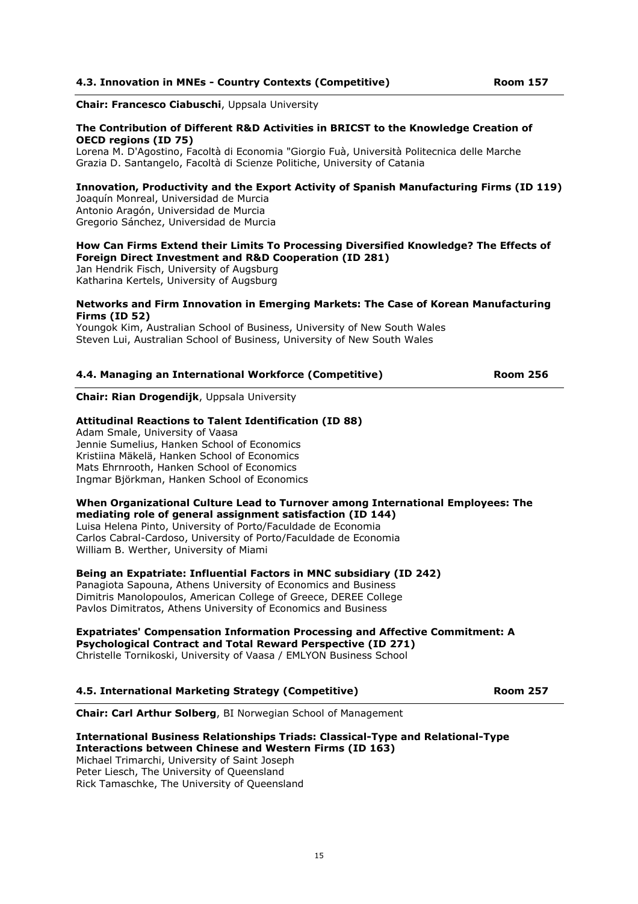Chair: Francesco Ciabuschi, Uppsala University

### The Contribution of Different R&D Activities in BRICST to the Knowledge Creation of OECD regions (ID 75)

Lorena M. D'Agostino, Facoltà di Economia "Giorgio Fuà, Università Politecnica delle Marche Grazia D. Santangelo, Facoltà di Scienze Politiche, University of Catania

### Innovation, Productivity and the Export Activity of Spanish Manufacturing Firms (ID 119)

Joaquín Monreal, Universidad de Murcia Antonio Aragón, Universidad de Murcia Gregorio Sánchez, Universidad de Murcia

### How Can Firms Extend their Limits To Processing Diversified Knowledge? The Effects of Foreign Direct Investment and R&D Cooperation (ID 281)

Jan Hendrik Fisch, University of Augsburg Katharina Kertels, University of Augsburg

### Networks and Firm Innovation in Emerging Markets: The Case of Korean Manufacturing Firms (ID 52)

Youngok Kim, Australian School of Business, University of New South Wales Steven Lui, Australian School of Business, University of New South Wales

### 4.4. Managing an International Workforce (Competitive) Room 256

Chair: Rian Drogendijk, Uppsala University

### Attitudinal Reactions to Talent Identification (ID 88)

Adam Smale, University of Vaasa Jennie Sumelius, Hanken School of Economics Kristiina Mäkelä, Hanken School of Economics Mats Ehrnrooth, Hanken School of Economics Ingmar Björkman, Hanken School of Economics

### When Organizational Culture Lead to Turnover among International Employees: The mediating role of general assignment satisfaction (ID 144)

Luisa Helena Pinto, University of Porto/Faculdade de Economia Carlos Cabral-Cardoso, University of Porto/Faculdade de Economia William B. Werther, University of Miami

Being an Expatriate: Influential Factors in MNC subsidiary (ID 242)

Panagiota Sapouna, Athens University of Economics and Business Dimitris Manolopoulos, American College of Greece, DEREE College Pavlos Dimitratos, Athens University of Economics and Business

# Expatriates' Compensation Information Processing and Affective Commitment: A

Psychological Contract and Total Reward Perspective (ID 271)

Christelle Tornikoski, University of Vaasa / EMLYON Business School

### 4.5. International Marketing Strategy (Competitive) Room 257

Chair: Carl Arthur Solberg, BI Norwegian School of Management

#### International Business Relationships Triads: Classical-Type and Relational-Type Interactions between Chinese and Western Firms (ID 163)

Michael Trimarchi, University of Saint Joseph Peter Liesch, The University of Queensland Rick Tamaschke, The University of Queensland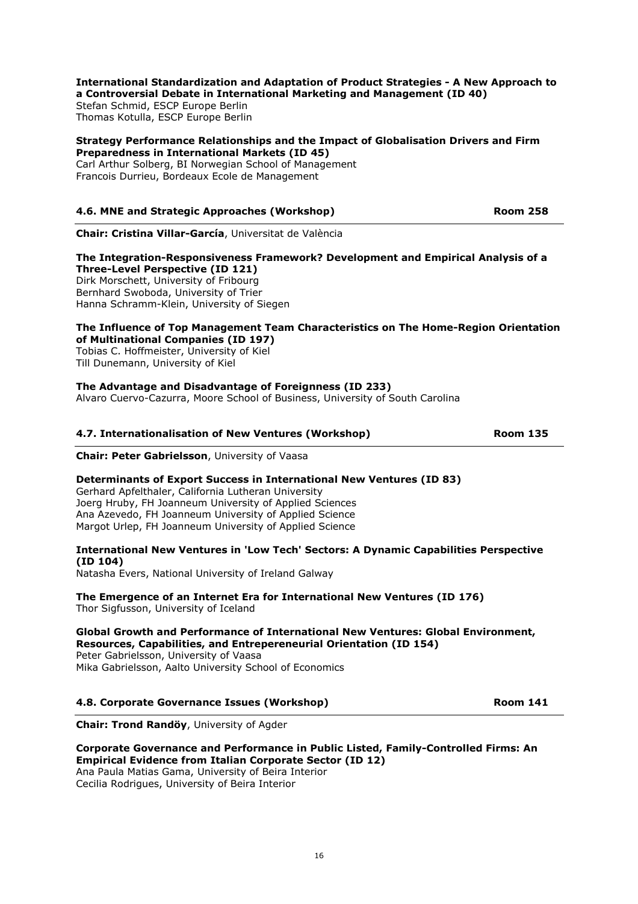### International Standardization and Adaptation of Product Strategies - A New Approach to a Controversial Debate in International Marketing and Management (ID 40)

Stefan Schmid, ESCP Europe Berlin Thomas Kotulla, ESCP Europe Berlin

### Strategy Performance Relationships and the Impact of Globalisation Drivers and Firm Preparedness in International Markets (ID 45)

Carl Arthur Solberg, BI Norwegian School of Management Francois Durrieu, Bordeaux Ecole de Management

## 4.6. MNE and Strategic Approaches (Workshop) Room 258

Chair: Cristina Villar-García, Universitat de València

## The Integration-Responsiveness Framework? Development and Empirical Analysis of a Three-Level Perspective (ID 121)

Dirk Morschett, University of Fribourg Bernhard Swoboda, University of Trier Hanna Schramm-Klein, University of Siegen

### The Influence of Top Management Team Characteristics on The Home-Region Orientation of Multinational Companies (ID 197)

Tobias C. Hoffmeister, University of Kiel Till Dunemann, University of Kiel

## The Advantage and Disadvantage of Foreignness (ID 233)

Alvaro Cuervo-Cazurra, Moore School of Business, University of South Carolina

## 4.7. Internationalisation of New Ventures (Workshop) The Room 135

Chair: Peter Gabrielsson, University of Vaasa

### Determinants of Export Success in International New Ventures (ID 83)

Gerhard Apfelthaler, California Lutheran University Joerg Hruby, FH Joanneum University of Applied Sciences Ana Azevedo, FH Joanneum University of Applied Science Margot Urlep, FH Joanneum University of Applied Science

### International New Ventures in 'Low Tech' Sectors: A Dynamic Capabilities Perspective (ID 104)

Natasha Evers, National University of Ireland Galway

The Emergence of an Internet Era for International New Ventures (ID 176) Thor Sigfusson, University of Iceland

### Global Growth and Performance of International New Ventures: Global Environment, Resources, Capabilities, and Entrepereneurial Orientation (ID 154)

Peter Gabrielsson, University of Vaasa Mika Gabrielsson, Aalto University School of Economics

## 4.8. Corporate Governance Issues (Workshop) The Common Show Room 141

Chair: Trond Randöy, University of Agder

## Corporate Governance and Performance in Public Listed, Family-Controlled Firms: An Empirical Evidence from Italian Corporate Sector (ID 12)

Ana Paula Matias Gama, University of Beira Interior Cecilia Rodrigues, University of Beira Interior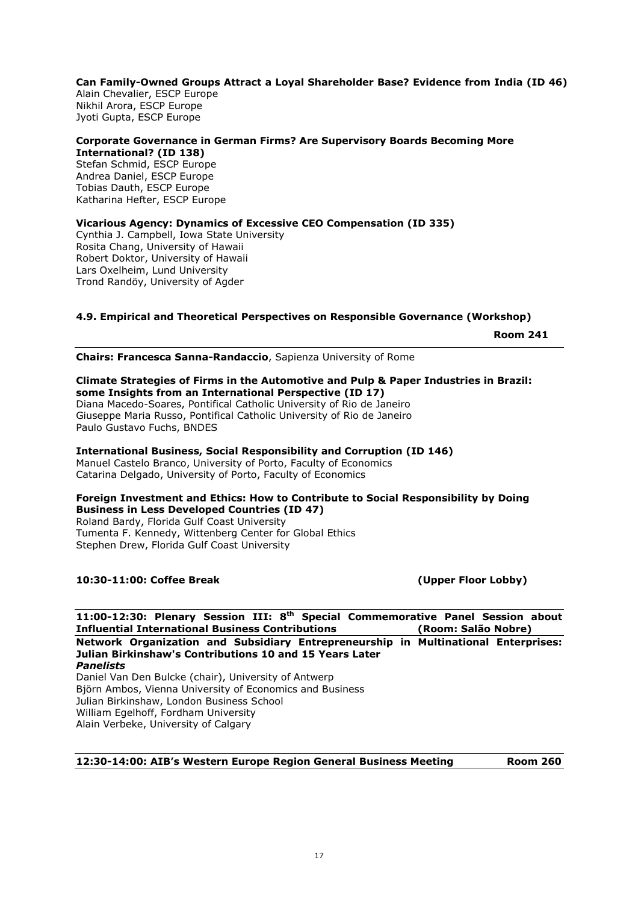Can Family-Owned Groups Attract a Loyal Shareholder Base? Evidence from India (ID 46) Alain Chevalier, ESCP Europe Nikhil Arora, ESCP Europe Jyoti Gupta, ESCP Europe

### Corporate Governance in German Firms? Are Supervisory Boards Becoming More International? (ID 138)

Stefan Schmid, ESCP Europe Andrea Daniel, ESCP Europe Tobias Dauth, ESCP Europe Katharina Hefter, ESCP Europe

### Vicarious Agency: Dynamics of Excessive CEO Compensation (ID 335) Cynthia J. Campbell, Iowa State University Rosita Chang, University of Hawaii Robert Doktor, University of Hawaii Lars Oxelheim, Lund University Trond Randöy, University of Agder

## 4.9. Empirical and Theoretical Perspectives on Responsible Governance (Workshop)

Room 241

Chairs: Francesca Sanna-Randaccio, Sapienza University of Rome

### Climate Strategies of Firms in the Automotive and Pulp & Paper Industries in Brazil: some Insights from an International Perspective (ID 17)

Diana Macedo-Soares, Pontifical Catholic University of Rio de Janeiro Giuseppe Maria Russo, Pontifical Catholic University of Rio de Janeiro Paulo Gustavo Fuchs, BNDES

### International Business, Social Responsibility and Corruption (ID 146) Manuel Castelo Branco, University of Porto, Faculty of Economics

Catarina Delgado, University of Porto, Faculty of Economics

### Foreign Investment and Ethics: How to Contribute to Social Responsibility by Doing Business in Less Developed Countries (ID 47) Roland Bardy, Florida Gulf Coast University Tumenta F. Kennedy, Wittenberg Center for Global Ethics

Stephen Drew, Florida Gulf Coast University

## 10:30-11:00: Coffee Break (Upper Floor Lobby)

11:00-12:30: Plenary Session III: 8th Special Commemorative Panel Session about Influential International Business Contributions (Room: Salão Nobre) Network Organization and Subsidiary Entrepreneurship in Multinational Enterprises: Julian Birkinshaw's Contributions 10 and 15 Years Later Panelists Daniel Van Den Bulcke (chair), University of Antwerp Björn Ambos, Vienna University of Economics and Business Julian Birkinshaw, London Business School

William Egelhoff, Fordham University Alain Verbeke, University of Calgary

## 12:30-14:00: AIB's Western Europe Region General Business Meeting Room 260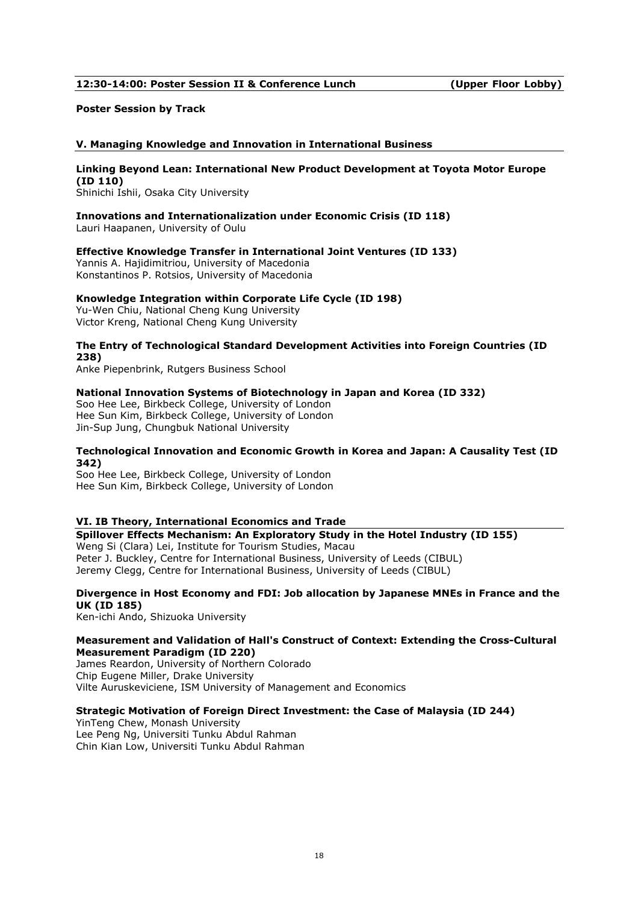### 12:30-14:00: Poster Session II & Conference Lunch (Upper Floor Lobby)

### Poster Session by Track

### V. Managing Knowledge and Innovation in International Business

#### Linking Beyond Lean: International New Product Development at Toyota Motor Europe (ID 110)

Shinichi Ishii, Osaka City University

#### Innovations and Internationalization under Economic Crisis (ID 118) Lauri Haapanen, University of Oulu

### Effective Knowledge Transfer in International Joint Ventures (ID 133)

Yannis A. Hajidimitriou, University of Macedonia Konstantinos P. Rotsios, University of Macedonia

### Knowledge Integration within Corporate Life Cycle (ID 198)

Yu-Wen Chiu, National Cheng Kung University Victor Kreng, National Cheng Kung University

### The Entry of Technological Standard Development Activities into Foreign Countries (ID 238)

Anke Piepenbrink, Rutgers Business School

### National Innovation Systems of Biotechnology in Japan and Korea (ID 332)

Soo Hee Lee, Birkbeck College, University of London Hee Sun Kim, Birkbeck College, University of London Jin-Sup Jung, Chungbuk National University

### Technological Innovation and Economic Growth in Korea and Japan: A Causality Test (ID 342)

Soo Hee Lee, Birkbeck College, University of London Hee Sun Kim, Birkbeck College, University of London

### VI. IB Theory, International Economics and Trade

Spillover Effects Mechanism: An Exploratory Study in the Hotel Industry (ID 155) Weng Si (Clara) Lei, Institute for Tourism Studies, Macau Peter J. Buckley, Centre for International Business, University of Leeds (CIBUL)

Jeremy Clegg, Centre for International Business, University of Leeds (CIBUL)

### Divergence in Host Economy and FDI: Job allocation by Japanese MNEs in France and the UK (ID 185)

Ken-ichi Ando, Shizuoka University

### Measurement and Validation of Hall's Construct of Context: Extending the Cross-Cultural Measurement Paradigm (ID 220)

James Reardon, University of Northern Colorado Chip Eugene Miller, Drake University Vilte Auruskeviciene, ISM University of Management and Economics

### Strategic Motivation of Foreign Direct Investment: the Case of Malaysia (ID 244)

YinTeng Chew, Monash University Lee Peng Ng, Universiti Tunku Abdul Rahman Chin Kian Low, Universiti Tunku Abdul Rahman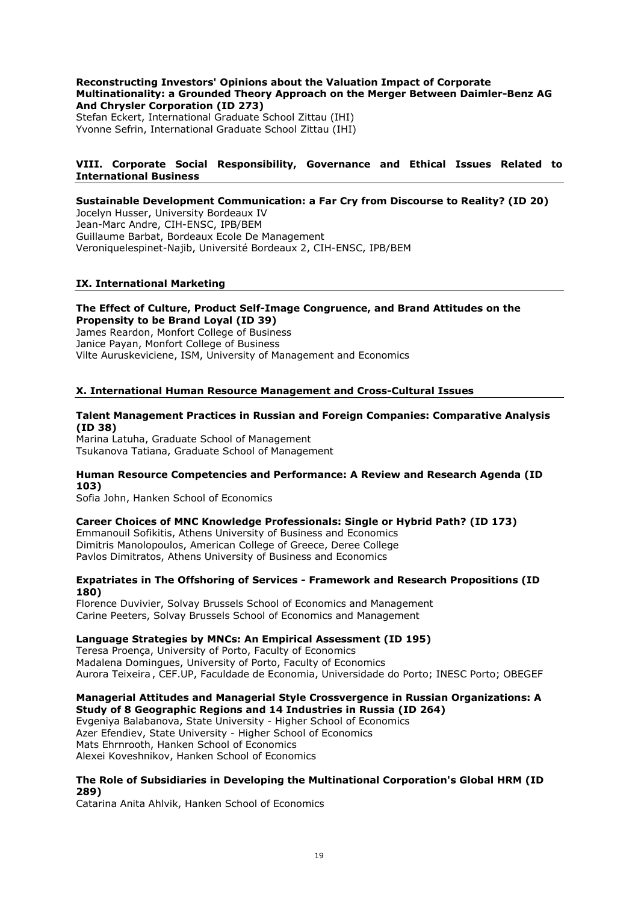### Reconstructing Investors' Opinions about the Valuation Impact of Corporate Multinationality: a Grounded Theory Approach on the Merger Between Daimler-Benz AG And Chrysler Corporation (ID 273) Stefan Eckert, International Graduate School Zittau (IHI) Yvonne Sefrin, International Graduate School Zittau (IHI)

### VIII. Corporate Social Responsibility, Governance and Ethical Issues Related to International Business

## Sustainable Development Communication: a Far Cry from Discourse to Reality? (ID 20)

Jocelyn Husser, University Bordeaux IV Jean-Marc Andre, CIH-ENSC, IPB/BEM Guillaume Barbat, Bordeaux Ecole De Management Veroniquelespinet-Najib, Université Bordeaux 2, CIH-ENSC, IPB/BEM

### IX. International Marketing

## The Effect of Culture, Product Self-Image Congruence, and Brand Attitudes on the Propensity to be Brand Loyal (ID 39)

James Reardon, Monfort College of Business Janice Payan, Monfort College of Business Vilte Auruskeviciene, ISM, University of Management and Economics

### X. International Human Resource Management and Cross-Cultural Issues

### Talent Management Practices in Russian and Foreign Companies: Comparative Analysis (ID 38)

Marina Latuha, Graduate School of Management Tsukanova Tatiana, Graduate School of Management

### Human Resource Competencies and Performance: A Review and Research Agenda (ID 103)

Sofia John, Hanken School of Economics

### Career Choices of MNC Knowledge Professionals: Single or Hybrid Path? (ID 173)

Emmanouil Sofikitis, Athens University of Business and Economics Dimitris Manolopoulos, American College of Greece, Deree College Pavlos Dimitratos, Athens University of Business and Economics

### Expatriates in The Offshoring of Services - Framework and Research Propositions (ID 180)

Florence Duvivier, Solvay Brussels School of Economics and Management Carine Peeters, Solvay Brussels School of Economics and Management

### Language Strategies by MNCs: An Empirical Assessment (ID 195)

Teresa Proença, University of Porto, Faculty of Economics Madalena Domingues, University of Porto, Faculty of Economics Aurora Teixeira , CEF.UP, Faculdade de Economia, Universidade do Porto; INESC Porto; OBEGEF

### Managerial Attitudes and Managerial Style Crossvergence in Russian Organizations: A Study of 8 Geographic Regions and 14 Industries in Russia (ID 264)

Evgeniya Balabanova, State University - Higher School of Economics Azer Efendiev, State University - Higher School of Economics Mats Ehrnrooth, Hanken School of Economics Alexei Koveshnikov, Hanken School of Economics

### The Role of Subsidiaries in Developing the Multinational Corporation's Global HRM (ID 289)

Catarina Anita Ahlvik, Hanken School of Economics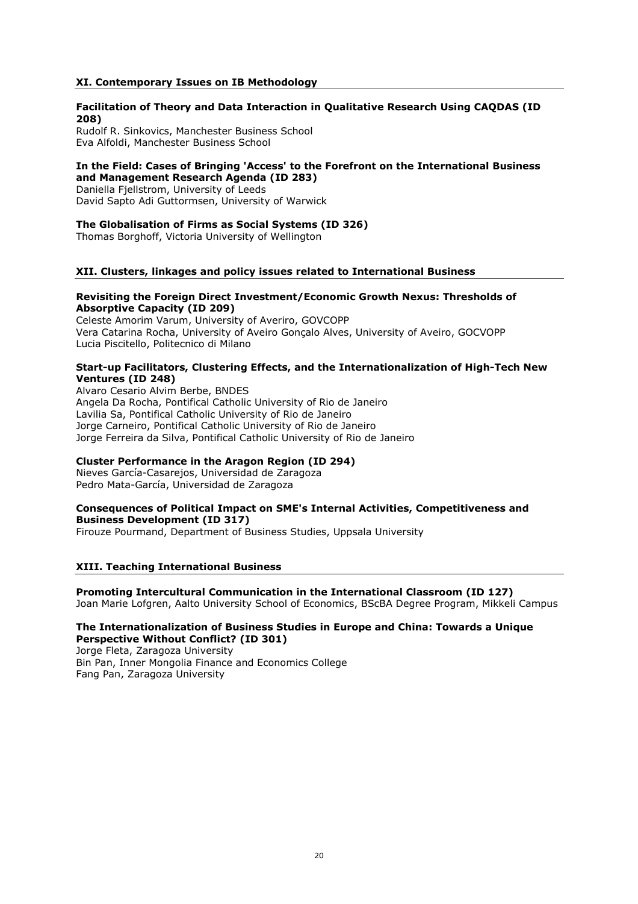### XI. Contemporary Issues on IB Methodology

### Facilitation of Theory and Data Interaction in Qualitative Research Using CAQDAS (ID 208)

Rudolf R. Sinkovics, Manchester Business School Eva Alfoldi, Manchester Business School

### In the Field: Cases of Bringing 'Access' to the Forefront on the International Business and Management Research Agenda (ID 283)

Daniella Fjellstrom, University of Leeds David Sapto Adi Guttormsen, University of Warwick

### The Globalisation of Firms as Social Systems (ID 326)

Thomas Borghoff, Victoria University of Wellington

### XII. Clusters, linkages and policy issues related to International Business

### Revisiting the Foreign Direct Investment/Economic Growth Nexus: Thresholds of Absorptive Capacity (ID 209)

Celeste Amorim Varum, University of Averiro, GOVCOPP Vera Catarina Rocha, University of Aveiro Gonçalo Alves, University of Aveiro, GOCVOPP Lucia Piscitello, Politecnico di Milano

### Start-up Facilitators, Clustering Effects, and the Internationalization of High-Tech New Ventures (ID 248)

Alvaro Cesario Alvim Berbe, BNDES Angela Da Rocha, Pontifical Catholic University of Rio de Janeiro Lavilia Sa, Pontifical Catholic University of Rio de Janeiro Jorge Carneiro, Pontifical Catholic University of Rio de Janeiro Jorge Ferreira da Silva, Pontifical Catholic University of Rio de Janeiro

## Cluster Performance in the Aragon Region (ID 294)

Nieves García-Casarejos, Universidad de Zaragoza Pedro Mata-García, Universidad de Zaragoza

### Consequences of Political Impact on SME's Internal Activities, Competitiveness and Business Development (ID 317)

Firouze Pourmand, Department of Business Studies, Uppsala University

### XIII. Teaching International Business

# Promoting Intercultural Communication in the International Classroom (ID 127)

Joan Marie Lofgren, Aalto University School of Economics, BScBA Degree Program, Mikkeli Campus

## The Internationalization of Business Studies in Europe and China: Towards a Unique Perspective Without Conflict? (ID 301)

Jorge Fleta, Zaragoza University Bin Pan, Inner Mongolia Finance and Economics College Fang Pan, Zaragoza University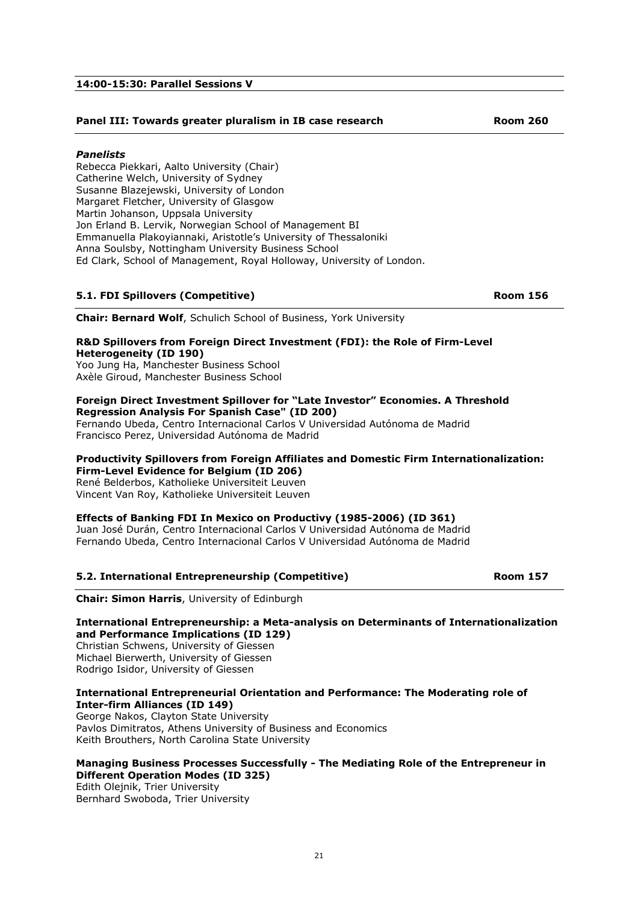## 14:00-15:30: Parallel Sessions V

## Panel III: Towards greater pluralism in IB case research Texas Room 260

### Panelists

Rebecca Piekkari, Aalto University (Chair) Catherine Welch, University of Sydney Susanne Blazejewski, University of London Margaret Fletcher, University of Glasgow Martin Johanson, Uppsala University Jon Erland B. Lervik, Norwegian School of Management BI Emmanuella Plakoyiannaki, Aristotle's University of Thessaloniki Anna Soulsby, Nottingham University Business School Ed Clark, School of Management, Royal Holloway, University of London.

### 5.1. FDI Spillovers (Competitive) **Room 156** and the set of the set of the set of the set of the set of the set o

Chair: Bernard Wolf, Schulich School of Business, York University

### R&D Spillovers from Foreign Direct Investment (FDI): the Role of Firm-Level Heterogeneity (ID 190) Yoo Jung Ha, Manchester Business School

Axèle Giroud, Manchester Business School

### Foreign Direct Investment Spillover for "Late Investor" Economies. A Threshold Regression Analysis For Spanish Case" (ID 200)

Fernando Ubeda, Centro Internacional Carlos V Universidad Autónoma de Madrid Francisco Perez, Universidad Autónoma de Madrid

#### Productivity Spillovers from Foreign Affiliates and Domestic Firm Internationalization: Firm-Level Evidence for Belgium (ID 206)

René Belderbos, Katholieke Universiteit Leuven Vincent Van Roy, Katholieke Universiteit Leuven

### Effects of Banking FDI In Mexico on Productivy (1985-2006) (ID 361)

Juan José Durán, Centro Internacional Carlos V Universidad Autónoma de Madrid Fernando Ubeda, Centro Internacional Carlos V Universidad Autónoma de Madrid

### 5.2. International Entrepreneurship (Competitive) Room 157

Chair: Simon Harris, University of Edinburgh

### International Entrepreneurship: a Meta-analysis on Determinants of Internationalization and Performance Implications (ID 129)

Christian Schwens, University of Giessen Michael Bierwerth, University of Giessen Rodrigo Isidor, University of Giessen

### International Entrepreneurial Orientation and Performance: The Moderating role of Inter-firm Alliances (ID 149)

George Nakos, Clayton State University Pavlos Dimitratos, Athens University of Business and Economics Keith Brouthers, North Carolina State University

### Managing Business Processes Successfully - The Mediating Role of the Entrepreneur in Different Operation Modes (ID 325)

Edith Olejnik, Trier University Bernhard Swoboda, Trier University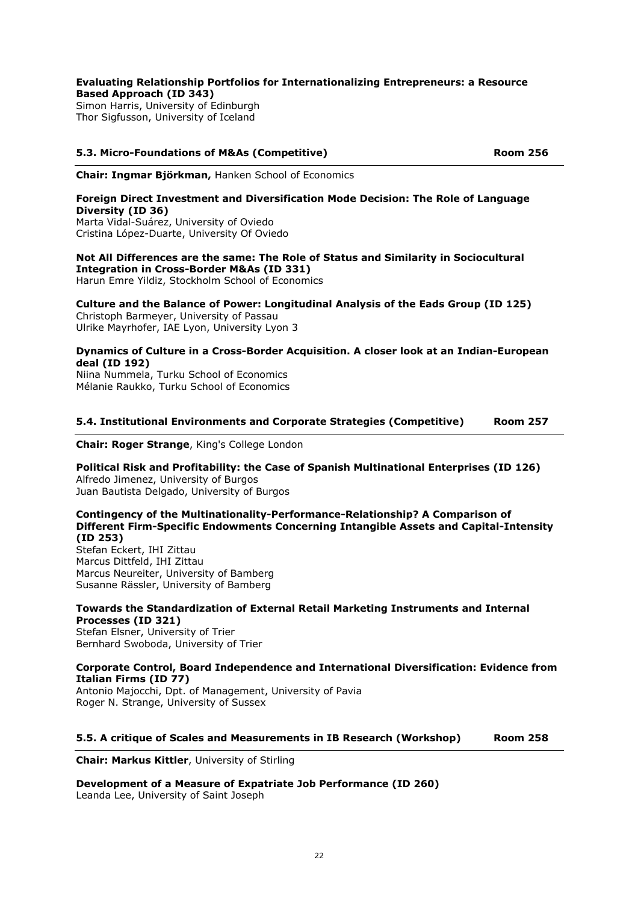## Evaluating Relationship Portfolios for Internationalizing Entrepreneurs: a Resource Based Approach (ID 343)

Simon Harris, University of Edinburgh Thor Sigfusson, University of Iceland

## 5.3. Micro-Foundations of M&As (Competitive) Room 256

Chair: Ingmar Björkman, Hanken School of Economics

## Foreign Direct Investment and Diversification Mode Decision: The Role of Language Diversity (ID 36)

Marta Vidal-Suárez, University of Oviedo Cristina López-Duarte, University Of Oviedo

## Not All Differences are the same: The Role of Status and Similarity in Sociocultural Integration in Cross-Border M&As (ID 331)

Harun Emre Yildiz, Stockholm School of Economics

## Culture and the Balance of Power: Longitudinal Analysis of the Eads Group (ID 125)

Christoph Barmeyer, University of Passau Ulrike Mayrhofer, IAE Lyon, University Lyon 3

## Dynamics of Culture in a Cross-Border Acquisition. A closer look at an Indian-European deal (ID 192)

Niina Nummela, Turku School of Economics Mélanie Raukko, Turku School of Economics

## 5.4. Institutional Environments and Corporate Strategies (Competitive) Room 257

Chair: Roger Strange, King's College London

## Political Risk and Profitability: the Case of Spanish Multinational Enterprises (ID 126) Alfredo Jimenez, University of Burgos

Juan Bautista Delgado, University of Burgos

## Contingency of the Multinationality-Performance-Relationship? A Comparison of Different Firm-Specific Endowments Concerning Intangible Assets and Capital-Intensity (ID 253)

Stefan Eckert, IHI Zittau Marcus Dittfeld, IHI Zittau Marcus Neureiter, University of Bamberg Susanne Rässler, University of Bamberg

## Towards the Standardization of External Retail Marketing Instruments and Internal Processes (ID 321)

Stefan Elsner, University of Trier Bernhard Swoboda, University of Trier

## Corporate Control, Board Independence and International Diversification: Evidence from Italian Firms (ID 77)

Antonio Majocchi, Dpt. of Management, University of Pavia Roger N. Strange, University of Sussex

### 5.5. A critique of Scales and Measurements in IB Research (Workshop) Room 258

Chair: Markus Kittler, University of Stirling

### Development of a Measure of Expatriate Job Performance (ID 260) Leanda Lee, University of Saint Joseph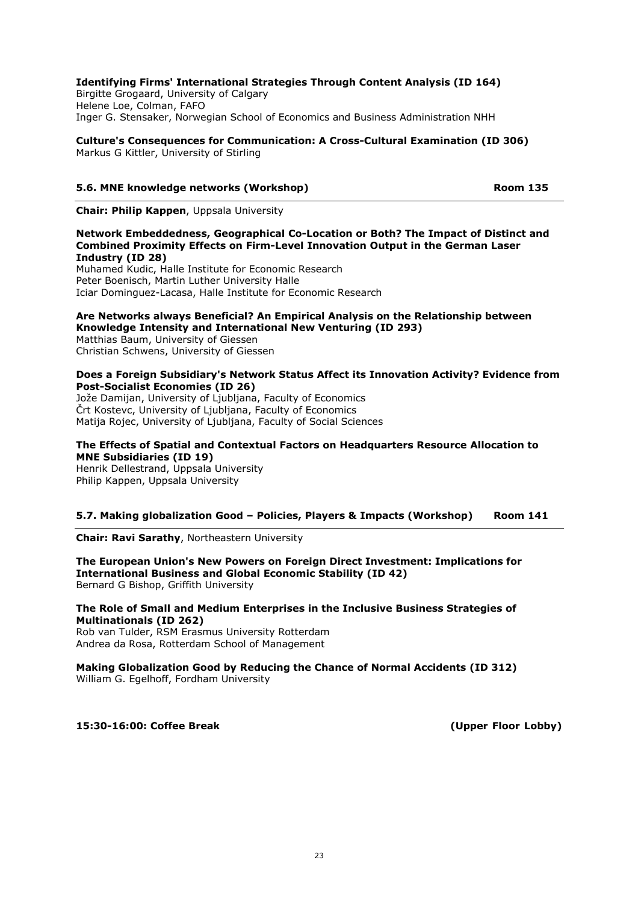## Identifying Firms' International Strategies Through Content Analysis (ID 164)

Birgitte Grogaard, University of Calgary Helene Loe, Colman, FAFO Inger G. Stensaker, Norwegian School of Economics and Business Administration NHH

Culture's Consequences for Communication: A Cross-Cultural Examination (ID 306) Markus G Kittler, University of Stirling

## 5.6. MNE knowledge networks (Workshop) and the common results of the Room 135

Chair: Philip Kappen, Uppsala University

### Network Embeddedness, Geographical Co-Location or Both? The Impact of Distinct and Combined Proximity Effects on Firm-Level Innovation Output in the German Laser Industry (ID 28)

Muhamed Kudic, Halle Institute for Economic Research Peter Boenisch, Martin Luther University Halle Iciar Dominguez-Lacasa, Halle Institute for Economic Research

### Are Networks always Beneficial? An Empirical Analysis on the Relationship between Knowledge Intensity and International New Venturing (ID 293)

Matthias Baum, University of Giessen Christian Schwens, University of Giessen

### Does a Foreign Subsidiary's Network Status Affect its Innovation Activity? Evidence from Post-Socialist Economies (ID 26)

Jože Damijan, University of Ljubljana, Faculty of Economics Črt Kostevc, University of Ljubljana, Faculty of Economics Matija Rojec, University of Liubliana, Faculty of Social Sciences

### The Effects of Spatial and Contextual Factors on Headquarters Resource Allocation to MNE Subsidiaries (ID 19)

Henrik Dellestrand, Uppsala University Philip Kappen, Uppsala University

## 5.7. Making globalization Good – Policies, Players & Impacts (Workshop) Room 141

Chair: Ravi Sarathy, Northeastern University

The European Union's New Powers on Foreign Direct Investment: Implications for International Business and Global Economic Stability (ID 42) Bernard G Bishop, Griffith University

### The Role of Small and Medium Enterprises in the Inclusive Business Strategies of Multinationals (ID 262)

Rob van Tulder, RSM Erasmus University Rotterdam Andrea da Rosa, Rotterdam School of Management

### Making Globalization Good by Reducing the Chance of Normal Accidents (ID 312) William G. Egelhoff, Fordham University

15:30-16:00: Coffee Break (Upper Floor Lobby)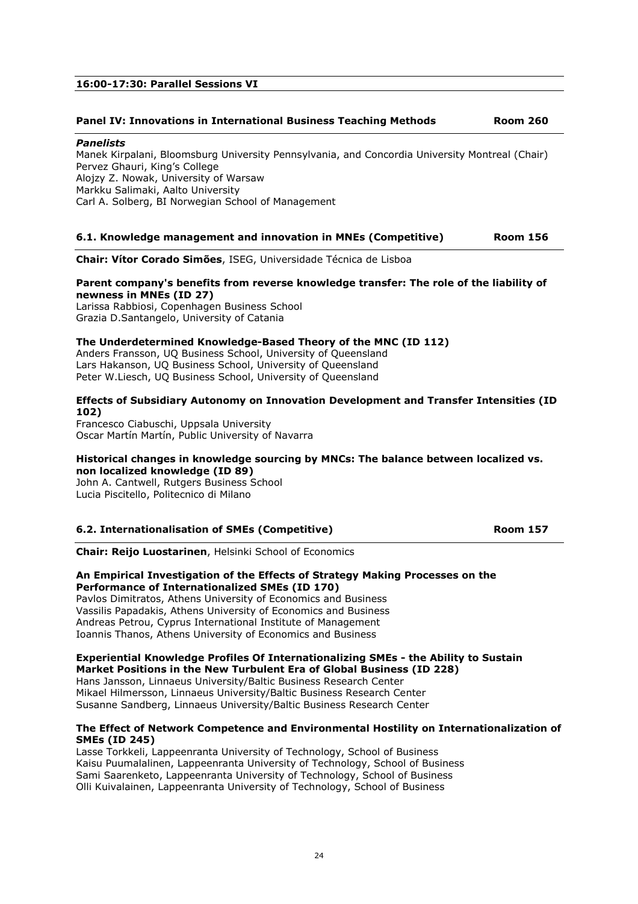## 16:00-17:30: Parallel Sessions VI

### Panel IV: Innovations in International Business Teaching Methods Room 260

### Panelists

Manek Kirpalani, Bloomsburg University Pennsylvania, and Concordia University Montreal (Chair) Pervez Ghauri, King's College Alojzy Z. Nowak, University of Warsaw Markku Salimaki, Aalto University Carl A. Solberg, BI Norwegian School of Management

### 6.1. Knowledge management and innovation in MNEs (Competitive) Room 156

Chair: Vítor Corado Simões, ISEG, Universidade Técnica de Lisboa

## Parent company's benefits from reverse knowledge transfer: The role of the liability of newness in MNEs (ID 27)

Larissa Rabbiosi, Copenhagen Business School Grazia D.Santangelo, University of Catania

### The Underdetermined Knowledge-Based Theory of the MNC (ID 112)

Anders Fransson, UQ Business School, University of Queensland Lars Hakanson, UQ Business School, University of Queensland Peter W.Liesch, UQ Business School, University of Queensland

### Effects of Subsidiary Autonomy on Innovation Development and Transfer Intensities (ID 102)

Francesco Ciabuschi, Uppsala University Oscar Martín Martín, Public University of Navarra

### Historical changes in knowledge sourcing by MNCs: The balance between localized vs. non localized knowledge (ID 89)

John A. Cantwell, Rutgers Business School Lucia Piscitello, Politecnico di Milano

### 6.2. Internationalisation of SMEs (Competitive) Room 157

Chair: Reijo Luostarinen, Helsinki School of Economics

### An Empirical Investigation of the Effects of Strategy Making Processes on the Performance of Internationalized SMEs (ID 170)

Pavlos Dimitratos, Athens University of Economics and Business Vassilis Papadakis, Athens University of Economics and Business Andreas Petrou, Cyprus International Institute of Management Ioannis Thanos, Athens University of Economics and Business

## Experiential Knowledge Profiles Of Internationalizing SMEs - the Ability to Sustain Market Positions in the New Turbulent Era of Global Business (ID 228)

Hans Jansson, Linnaeus University/Baltic Business Research Center Mikael Hilmersson, Linnaeus University/Baltic Business Research Center Susanne Sandberg, Linnaeus University/Baltic Business Research Center

### The Effect of Network Competence and Environmental Hostility on Internationalization of SMEs (ID 245)

Lasse Torkkeli, Lappeenranta University of Technology, School of Business Kaisu Puumalalinen, Lappeenranta University of Technology, School of Business Sami Saarenketo, Lappeenranta University of Technology, School of Business Olli Kuivalainen, Lappeenranta University of Technology, School of Business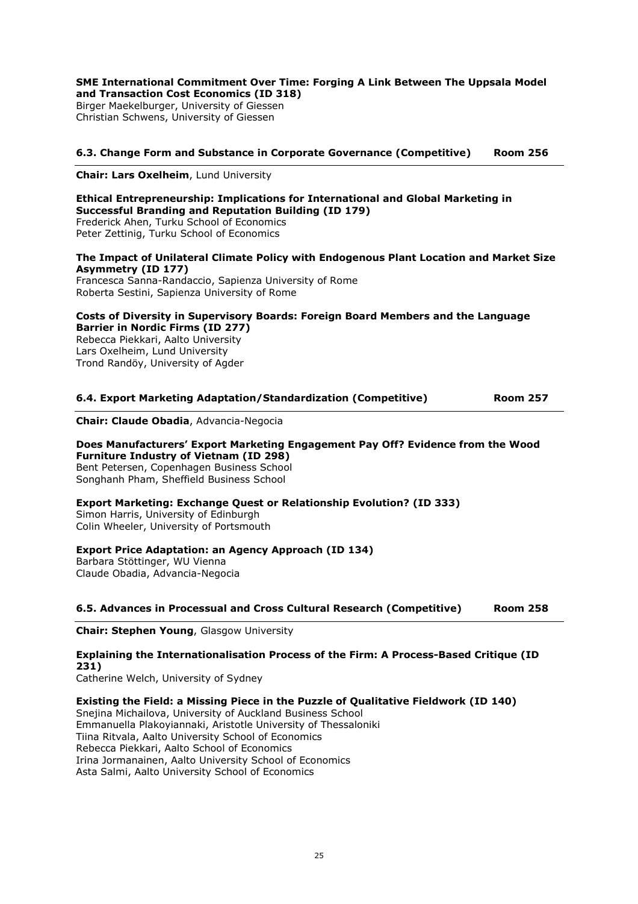### SME International Commitment Over Time: Forging A Link Between The Uppsala Model and Transaction Cost Economics (ID 318)

Birger Maekelburger, University of Giessen Christian Schwens, University of Giessen

## 6.3. Change Form and Substance in Corporate Governance (Competitive) Room 256

Chair: Lars Oxelheim, Lund University

### Ethical Entrepreneurship: Implications for International and Global Marketing in Successful Branding and Reputation Building (ID 179)

Frederick Ahen, Turku School of Economics Peter Zettinig, Turku School of Economics

## The Impact of Unilateral Climate Policy with Endogenous Plant Location and Market Size Asymmetry (ID 177)

Francesca Sanna-Randaccio, Sapienza University of Rome Roberta Sestini, Sapienza University of Rome

### Costs of Diversity in Supervisory Boards: Foreign Board Members and the Language Barrier in Nordic Firms (ID 277)

Rebecca Piekkari, Aalto University Lars Oxelheim, Lund University Trond Randöy, University of Agder

### 6.4. Export Marketing Adaptation/Standardization (Competitive) Room 257

Chair: Claude Obadia, Advancia-Negocia

### Does Manufacturers' Export Marketing Engagement Pay Off? Evidence from the Wood Furniture Industry of Vietnam (ID 298) Bent Petersen, Copenhagen Business School Songhanh Pham, Sheffield Business School

# Export Marketing: Exchange Quest or Relationship Evolution? (ID 333)

Simon Harris, University of Edinburgh Colin Wheeler, University of Portsmouth

## Export Price Adaptation: an Agency Approach (ID 134)

Barbara Stöttinger, WU Vienna Claude Obadia, Advancia-Negocia

### 6.5. Advances in Processual and Cross Cultural Research (Competitive) Room 258

Chair: Stephen Young, Glasgow University

## Explaining the Internationalisation Process of the Firm: A Process-Based Critique (ID 231)

Catherine Welch, University of Sydney

### Existing the Field: a Missing Piece in the Puzzle of Qualitative Fieldwork (ID 140)

Snejina Michailova, University of Auckland Business School Emmanuella Plakoyiannaki, Aristotle University of Thessaloniki Tiina Ritvala, Aalto University School of Economics Rebecca Piekkari, Aalto School of Economics Irina Jormanainen, Aalto University School of Economics Asta Salmi, Aalto University School of Economics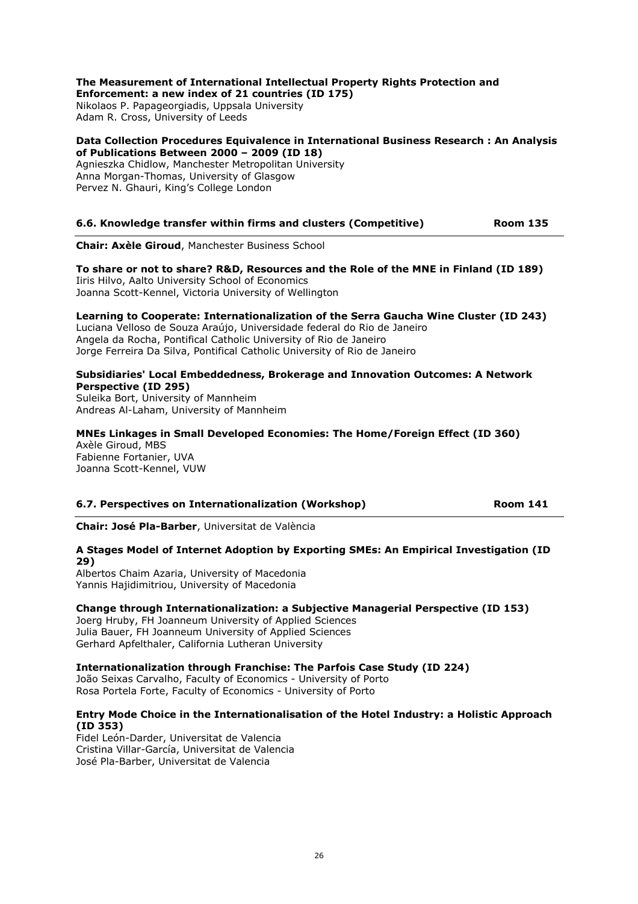### The Measurement of International Intellectual Property Rights Protection and Enforcement: a new index of 21 countries (ID 175)

Nikolaos P. Papageorgiadis, Uppsala University Adam R. Cross, University of Leeds

## Data Collection Procedures Equivalence in International Business Research : An Analysis of Publications Between 2000 – 2009 (ID 18)

Agnieszka Chidlow, Manchester Metropolitan University Anna Morgan-Thomas, University of Glasgow Pervez N. Ghauri, King's College London

## 6.6. Knowledge transfer within firms and clusters (Competitive) Room 135

Chair: Axèle Giroud, Manchester Business School

To share or not to share? R&D, Resources and the Role of the MNE in Finland (ID 189) Iiris Hilvo, Aalto University School of Economics Joanna Scott-Kennel, Victoria University of Wellington

## Learning to Cooperate: Internationalization of the Serra Gaucha Wine Cluster (ID 243)

Luciana Velloso de Souza Araújo, Universidade federal do Rio de Janeiro Angela da Rocha, Pontifical Catholic University of Rio de Janeiro Jorge Ferreira Da Silva, Pontifical Catholic University of Rio de Janeiro

### Subsidiaries' Local Embeddedness, Brokerage and Innovation Outcomes: A Network Perspective (ID 295)

Suleika Bort, University of Mannheim Andreas Al-Laham, University of Mannheim

## MNEs Linkages in Small Developed Economies: The Home/Foreign Effect (ID 360) Axèle Giroud, MBS

Fabienne Fortanier, UVA Joanna Scott-Kennel, VUW

## 6.7. Perspectives on Internationalization (Workshop) **Room 141**

Chair: José Pla-Barber, Universitat de València

## A Stages Model of Internet Adoption by Exporting SMEs: An Empirical Investigation (ID 29)

Albertos Chaim Azaria, University of Macedonia Yannis Hajidimitriou, University of Macedonia

## Change through Internationalization: a Subjective Managerial Perspective (ID 153)

Joerg Hruby, FH Joanneum University of Applied Sciences Julia Bauer, FH Joanneum University of Applied Sciences Gerhard Apfelthaler, California Lutheran University

### Internationalization through Franchise: The Parfois Case Study (ID 224)

João Seixas Carvalho, Faculty of Economics - University of Porto Rosa Portela Forte, Faculty of Economics - University of Porto

## Entry Mode Choice in the Internationalisation of the Hotel Industry: a Holistic Approach (ID 353)

Fidel León-Darder, Universitat de Valencia Cristina Villar-García, Universitat de Valencia José Pla-Barber, Universitat de Valencia